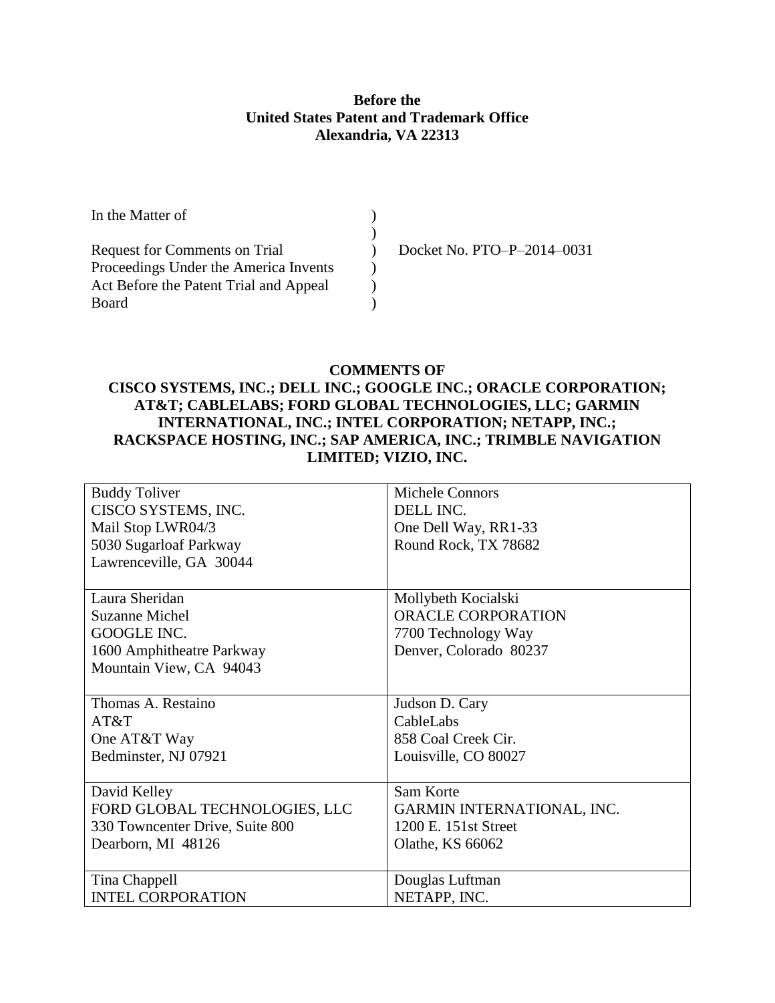### **Before the United States Patent and Trademark Office Alexandria, VA 22313**

| In the Matter of                       |                            |
|----------------------------------------|----------------------------|
|                                        |                            |
| <b>Request for Comments on Trial</b>   | Docket No. PTO-P-2014-0031 |
| Proceedings Under the America Invents  |                            |
| Act Before the Patent Trial and Appeal |                            |
| Board                                  |                            |

### **COMMENTS OF**

# **CISCO SYSTEMS, INC.; DELL INC.; GOOGLE INC.; ORACLE CORPORATION; AT&T; CABLELABS; FORD GLOBAL TECHNOLOGIES, LLC; GARMIN INTERNATIONAL, INC.; INTEL CORPORATION; NETAPP, INC.; RACKSPACE HOSTING, INC.; SAP AMERICA, INC.; TRIMBLE NAVIGATION LIMITED; VIZIO, INC.**

| <b>Buddy Toliver</b>            | <b>Michele Connors</b>            |
|---------------------------------|-----------------------------------|
| CISCO SYSTEMS, INC.             | DELL INC.                         |
| Mail Stop LWR04/3               | One Dell Way, RR1-33              |
| 5030 Sugarloaf Parkway          | Round Rock, TX 78682              |
| Lawrenceville, GA 30044         |                                   |
|                                 |                                   |
| Laura Sheridan                  | Mollybeth Kocialski               |
| <b>Suzanne Michel</b>           | ORACLE CORPORATION                |
| GOOGLE INC.                     | 7700 Technology Way               |
| 1600 Amphitheatre Parkway       | Denver, Colorado 80237            |
| Mountain View, CA 94043         |                                   |
|                                 |                                   |
| Thomas A. Restaino              | Judson D. Cary                    |
| AT&T                            | CableLabs                         |
| One AT&T Way                    | 858 Coal Creek Cir.               |
| Bedminster, NJ 07921            | Louisville, CO 80027              |
|                                 |                                   |
| David Kelley                    | Sam Korte                         |
| FORD GLOBAL TECHNOLOGIES, LLC   | <b>GARMIN INTERNATIONAL, INC.</b> |
| 330 Towncenter Drive, Suite 800 | 1200 E. 151st Street              |
| Dearborn, MI 48126              | Olathe, KS 66062                  |
|                                 |                                   |
| Tina Chappell                   | Douglas Luftman                   |
| <b>INTEL CORPORATION</b>        | NETAPP, INC.                      |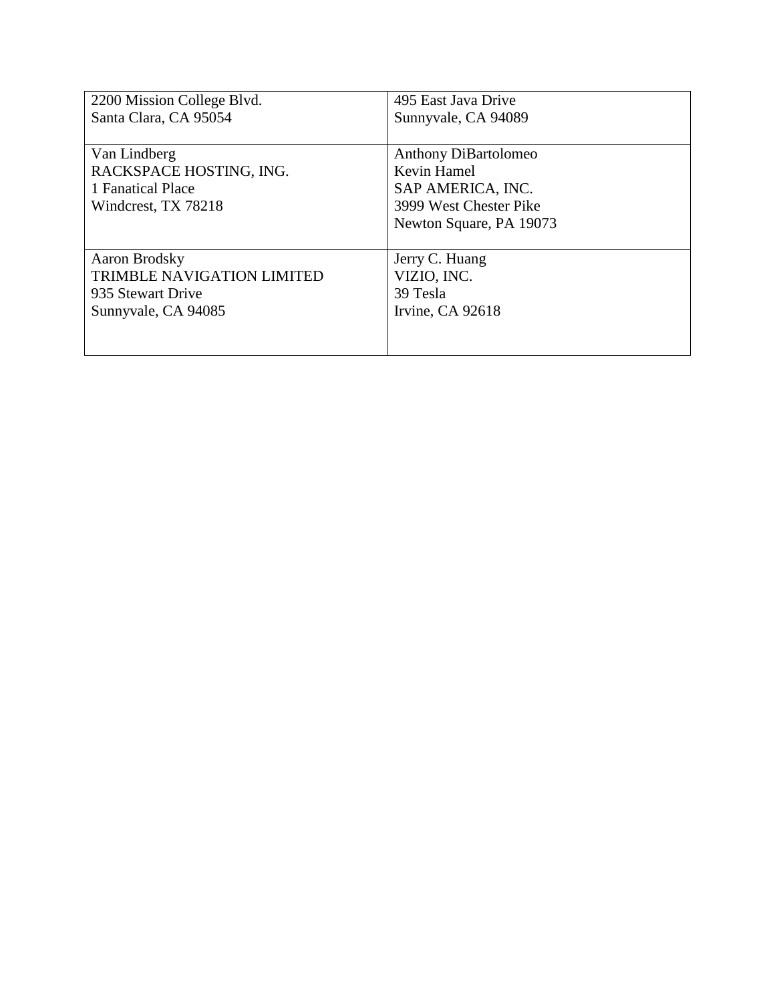| 2200 Mission College Blvd.        | 495 East Java Drive     |
|-----------------------------------|-------------------------|
| Santa Clara, CA 95054             | Sunnyvale, CA 94089     |
|                                   |                         |
| Van Lindberg                      | Anthony DiBartolomeo    |
| RACKSPACE HOSTING, ING.           | Kevin Hamel             |
| 1 Fanatical Place                 | SAP AMERICA, INC.       |
| Windcrest, TX 78218               | 3999 West Chester Pike  |
|                                   | Newton Square, PA 19073 |
|                                   |                         |
| Aaron Brodsky                     | Jerry C. Huang          |
| <b>TRIMBLE NAVIGATION LIMITED</b> | VIZIO, INC.             |
| 935 Stewart Drive                 | 39 Tesla                |
| Sunnyvale, CA 94085               | Irvine, CA 92618        |
|                                   |                         |
|                                   |                         |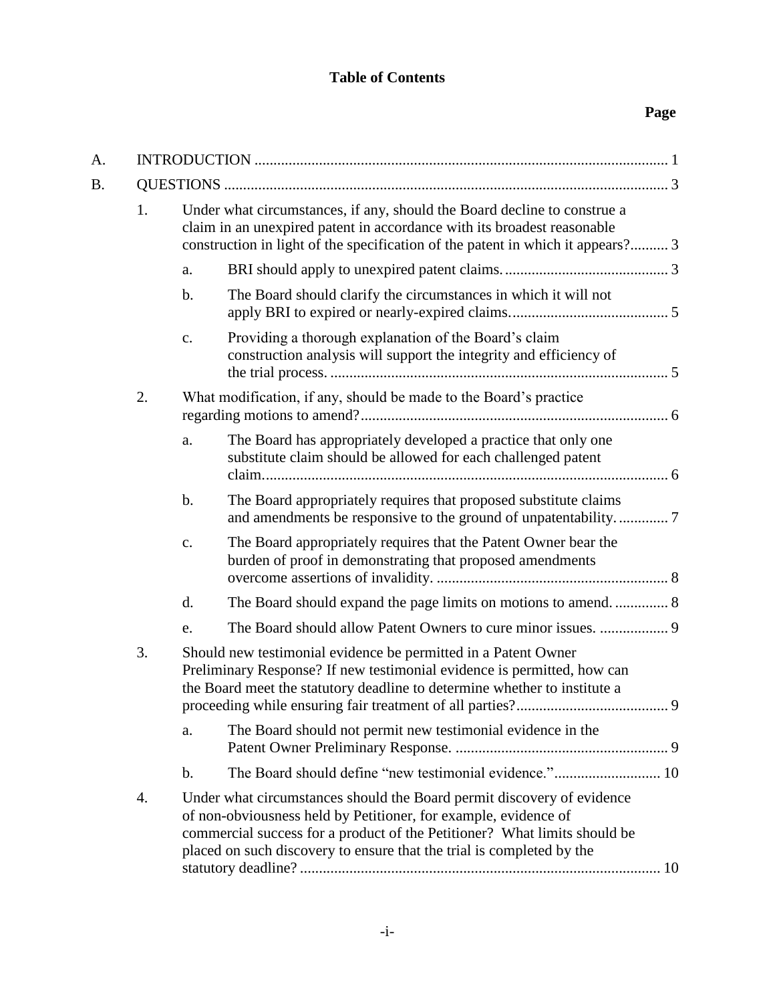# **Table of Contents**

# **Page**

| A. |    |               |                                                                                                                                                                                                                                                                                                 |  |
|----|----|---------------|-------------------------------------------------------------------------------------------------------------------------------------------------------------------------------------------------------------------------------------------------------------------------------------------------|--|
| B. |    |               |                                                                                                                                                                                                                                                                                                 |  |
|    | 1. |               | Under what circumstances, if any, should the Board decline to construe a<br>claim in an unexpired patent in accordance with its broadest reasonable<br>construction in light of the specification of the patent in which it appears? 3                                                          |  |
|    |    | a.            |                                                                                                                                                                                                                                                                                                 |  |
|    |    | $\mathbf b$ . | The Board should clarify the circumstances in which it will not                                                                                                                                                                                                                                 |  |
|    |    | $C_{\bullet}$ | Providing a thorough explanation of the Board's claim<br>construction analysis will support the integrity and efficiency of                                                                                                                                                                     |  |
|    | 2. |               | What modification, if any, should be made to the Board's practice                                                                                                                                                                                                                               |  |
|    |    | a.            | The Board has appropriately developed a practice that only one<br>substitute claim should be allowed for each challenged patent                                                                                                                                                                 |  |
|    |    | $\mathbf b$ . | The Board appropriately requires that proposed substitute claims                                                                                                                                                                                                                                |  |
|    |    | c.            | The Board appropriately requires that the Patent Owner bear the<br>burden of proof in demonstrating that proposed amendments                                                                                                                                                                    |  |
|    |    | d.            |                                                                                                                                                                                                                                                                                                 |  |
|    |    | e.            |                                                                                                                                                                                                                                                                                                 |  |
|    | 3. |               | Should new testimonial evidence be permitted in a Patent Owner<br>Preliminary Response? If new testimonial evidence is permitted, how can<br>the Board meet the statutory deadline to determine whether to institute a                                                                          |  |
|    |    | a.            | The Board should not permit new testimonial evidence in the                                                                                                                                                                                                                                     |  |
|    |    | $\mathbf b$ . |                                                                                                                                                                                                                                                                                                 |  |
|    | 4. |               | Under what circumstances should the Board permit discovery of evidence<br>of non-obviousness held by Petitioner, for example, evidence of<br>commercial success for a product of the Petitioner? What limits should be<br>placed on such discovery to ensure that the trial is completed by the |  |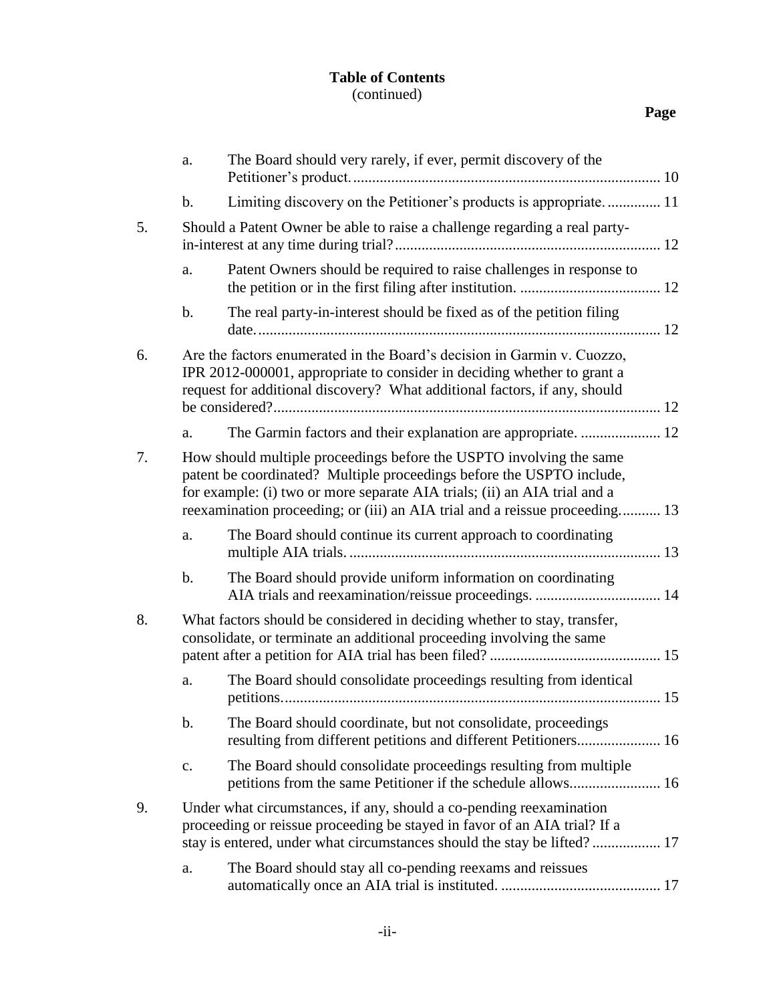## **Table of Contents** (continued)

# **Page**

|    | a.             | The Board should very rarely, if ever, permit discovery of the                                                                                                                                                                                                                                           |  |
|----|----------------|----------------------------------------------------------------------------------------------------------------------------------------------------------------------------------------------------------------------------------------------------------------------------------------------------------|--|
|    | b.             | Limiting discovery on the Petitioner's products is appropriate 11                                                                                                                                                                                                                                        |  |
| 5. |                | Should a Patent Owner be able to raise a challenge regarding a real party-                                                                                                                                                                                                                               |  |
|    | a.             | Patent Owners should be required to raise challenges in response to                                                                                                                                                                                                                                      |  |
|    | b.             | The real party-in-interest should be fixed as of the petition filing                                                                                                                                                                                                                                     |  |
| 6. |                | Are the factors enumerated in the Board's decision in Garmin v. Cuozzo,<br>IPR 2012-000001, appropriate to consider in deciding whether to grant a<br>request for additional discovery? What additional factors, if any, should                                                                          |  |
|    | a.             |                                                                                                                                                                                                                                                                                                          |  |
| 7. |                | How should multiple proceedings before the USPTO involving the same<br>patent be coordinated? Multiple proceedings before the USPTO include,<br>for example: (i) two or more separate AIA trials; (ii) an AIA trial and a<br>reexamination proceeding; or (iii) an AIA trial and a reissue proceeding 13 |  |
|    | a.             | The Board should continue its current approach to coordinating                                                                                                                                                                                                                                           |  |
|    | b.             | The Board should provide uniform information on coordinating                                                                                                                                                                                                                                             |  |
| 8. |                | What factors should be considered in deciding whether to stay, transfer,<br>consolidate, or terminate an additional proceeding involving the same                                                                                                                                                        |  |
|    | a.             | The Board should consolidate proceedings resulting from identical                                                                                                                                                                                                                                        |  |
|    | b.             | The Board should coordinate, but not consolidate, proceedings<br>resulting from different petitions and different Petitioners 16                                                                                                                                                                         |  |
|    | $\mathbf{c}$ . | The Board should consolidate proceedings resulting from multiple                                                                                                                                                                                                                                         |  |
| 9. |                | Under what circumstances, if any, should a co-pending reexamination<br>proceeding or reissue proceeding be stayed in favor of an AIA trial? If a<br>stay is entered, under what circumstances should the stay be lifted? 17                                                                              |  |
|    | a.             | The Board should stay all co-pending reexams and reissues                                                                                                                                                                                                                                                |  |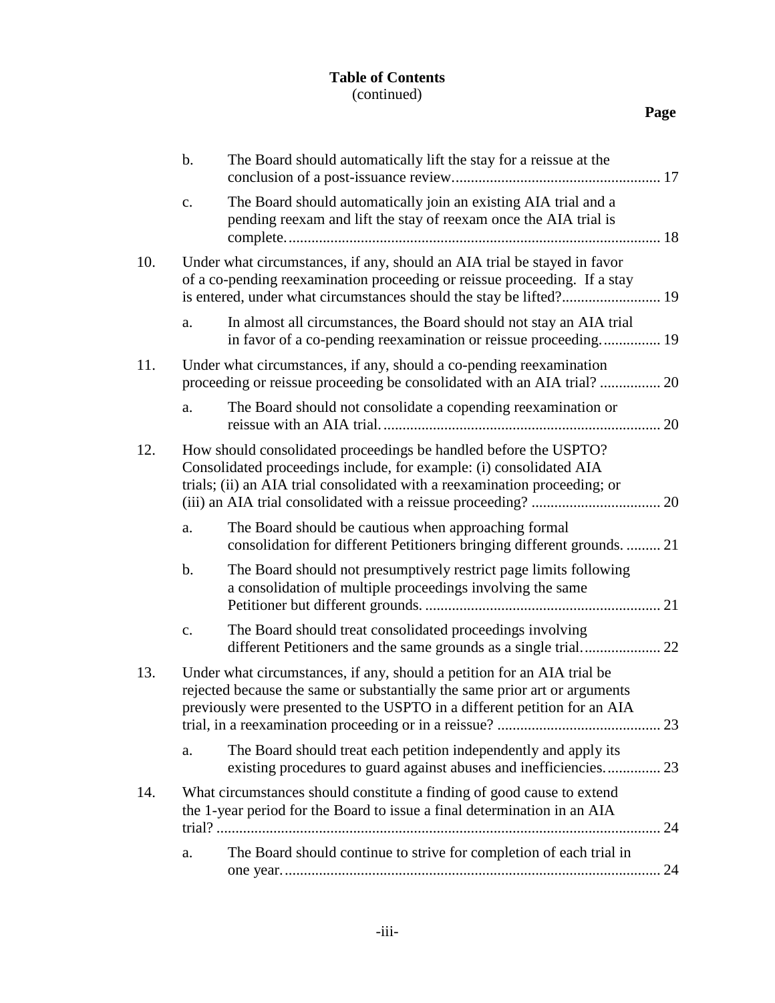## **Table of Contents** (continued)

| I |
|---|
|---|

|     | $\mathbf b$ . | The Board should automatically lift the stay for a reissue at the                                                                                                                                                                  |    |
|-----|---------------|------------------------------------------------------------------------------------------------------------------------------------------------------------------------------------------------------------------------------------|----|
|     | c.            | The Board should automatically join an existing AIA trial and a<br>pending reexam and lift the stay of reexam once the AIA trial is                                                                                                |    |
| 10. |               | Under what circumstances, if any, should an AIA trial be stayed in favor<br>of a co-pending reexamination proceeding or reissue proceeding. If a stay                                                                              |    |
|     | a.            | In almost all circumstances, the Board should not stay an AIA trial<br>in favor of a co-pending reexamination or reissue proceeding 19                                                                                             |    |
| 11. |               | Under what circumstances, if any, should a co-pending reexamination                                                                                                                                                                |    |
|     | a.            | The Board should not consolidate a copending reexamination or                                                                                                                                                                      | 20 |
| 12. |               | How should consolidated proceedings be handled before the USPTO?<br>Consolidated proceedings include, for example: (i) consolidated AIA<br>trials; (ii) an AIA trial consolidated with a reexamination proceeding; or              |    |
|     | a.            | The Board should be cautious when approaching formal<br>consolidation for different Petitioners bringing different grounds.  21                                                                                                    |    |
|     | b.            | The Board should not presumptively restrict page limits following<br>a consolidation of multiple proceedings involving the same                                                                                                    | 21 |
|     | c.            | The Board should treat consolidated proceedings involving                                                                                                                                                                          |    |
| 13. |               | Under what circumstances, if any, should a petition for an AIA trial be<br>rejected because the same or substantially the same prior art or arguments<br>previously were presented to the USPTO in a different petition for an AIA |    |
|     | a.            | The Board should treat each petition independently and apply its<br>existing procedures to guard against abuses and inefficiencies 23                                                                                              |    |
| 14. |               | What circumstances should constitute a finding of good cause to extend<br>the 1-year period for the Board to issue a final determination in an AIA                                                                                 |    |
|     | a.            | The Board should continue to strive for completion of each trial in                                                                                                                                                                |    |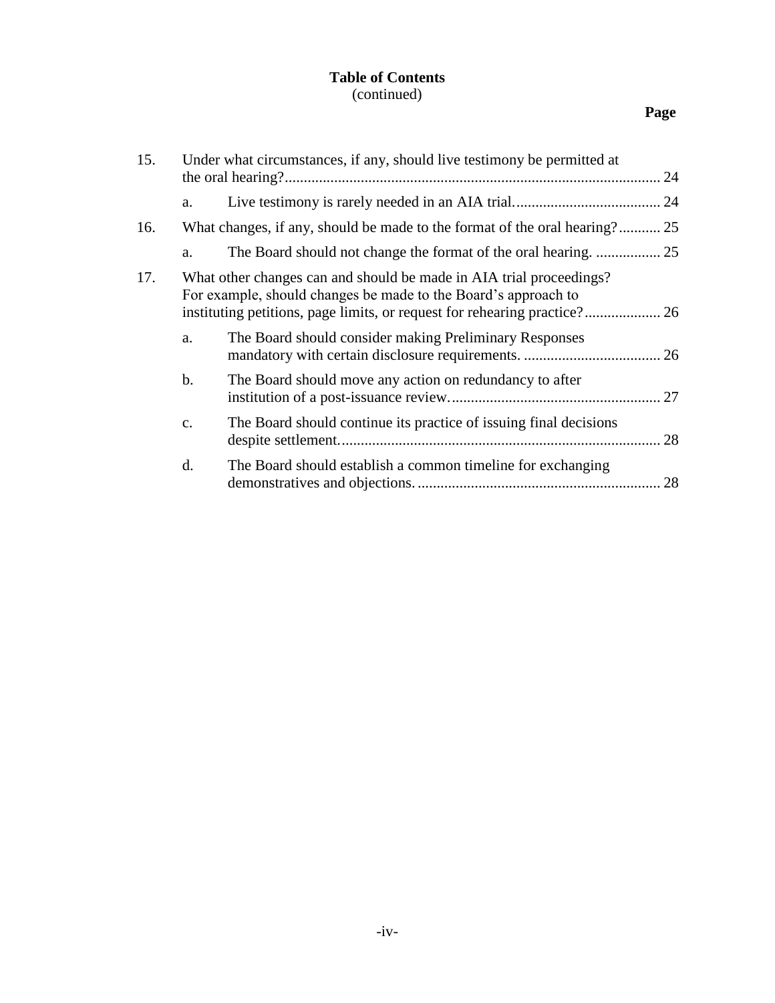## **Table of Contents** (continued)

# **Page**

| 15. |    | Under what circumstances, if any, should live testimony be permitted at                                                               |    |
|-----|----|---------------------------------------------------------------------------------------------------------------------------------------|----|
|     | a. |                                                                                                                                       |    |
| 16. |    | What changes, if any, should be made to the format of the oral hearing? 25                                                            |    |
|     | a. |                                                                                                                                       |    |
| 17. |    | What other changes can and should be made in AIA trial proceedings?<br>For example, should changes be made to the Board's approach to |    |
|     | a. | The Board should consider making Preliminary Responses                                                                                |    |
|     | b. | The Board should move any action on redundancy to after                                                                               |    |
|     | c. | The Board should continue its practice of issuing final decisions                                                                     |    |
|     | d. | The Board should establish a common timeline for exchanging                                                                           | 28 |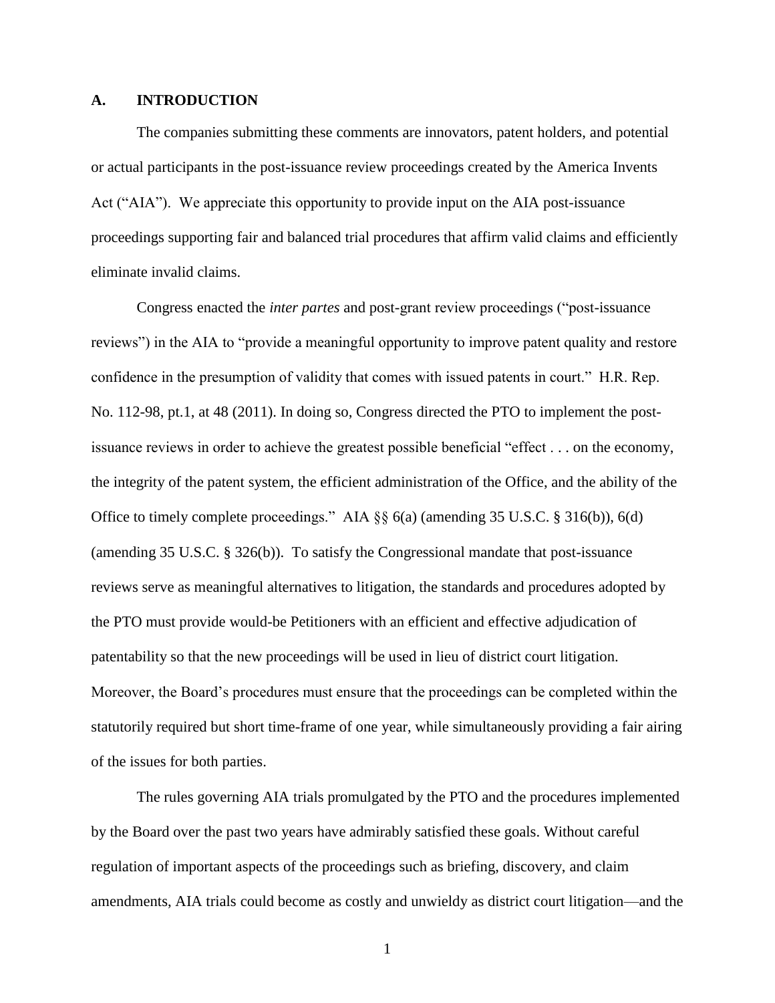#### **A. INTRODUCTION**

The companies submitting these comments are innovators, patent holders, and potential or actual participants in the post-issuance review proceedings created by the America Invents Act ("AIA"). We appreciate this opportunity to provide input on the AIA post-issuance proceedings supporting fair and balanced trial procedures that affirm valid claims and efficiently eliminate invalid claims.

Congress enacted the *inter partes* and post-grant review proceedings ("post-issuance reviews") in the AIA to "provide a meaningful opportunity to improve patent quality and restore confidence in the presumption of validity that comes with issued patents in court." H.R. Rep. No. 112-98, pt.1, at 48 (2011). In doing so, Congress directed the PTO to implement the postissuance reviews in order to achieve the greatest possible beneficial "effect . . . on the economy, the integrity of the patent system, the efficient administration of the Office, and the ability of the Office to timely complete proceedings." AIA §§ 6(a) (amending 35 U.S.C. § 316(b)), 6(d) (amending 35 U.S.C. § 326(b)). To satisfy the Congressional mandate that post-issuance reviews serve as meaningful alternatives to litigation, the standards and procedures adopted by the PTO must provide would-be Petitioners with an efficient and effective adjudication of patentability so that the new proceedings will be used in lieu of district court litigation. Moreover, the Board's procedures must ensure that the proceedings can be completed within the statutorily required but short time-frame of one year, while simultaneously providing a fair airing of the issues for both parties.

The rules governing AIA trials promulgated by the PTO and the procedures implemented by the Board over the past two years have admirably satisfied these goals. Without careful regulation of important aspects of the proceedings such as briefing, discovery, and claim amendments, AIA trials could become as costly and unwieldy as district court litigation—and the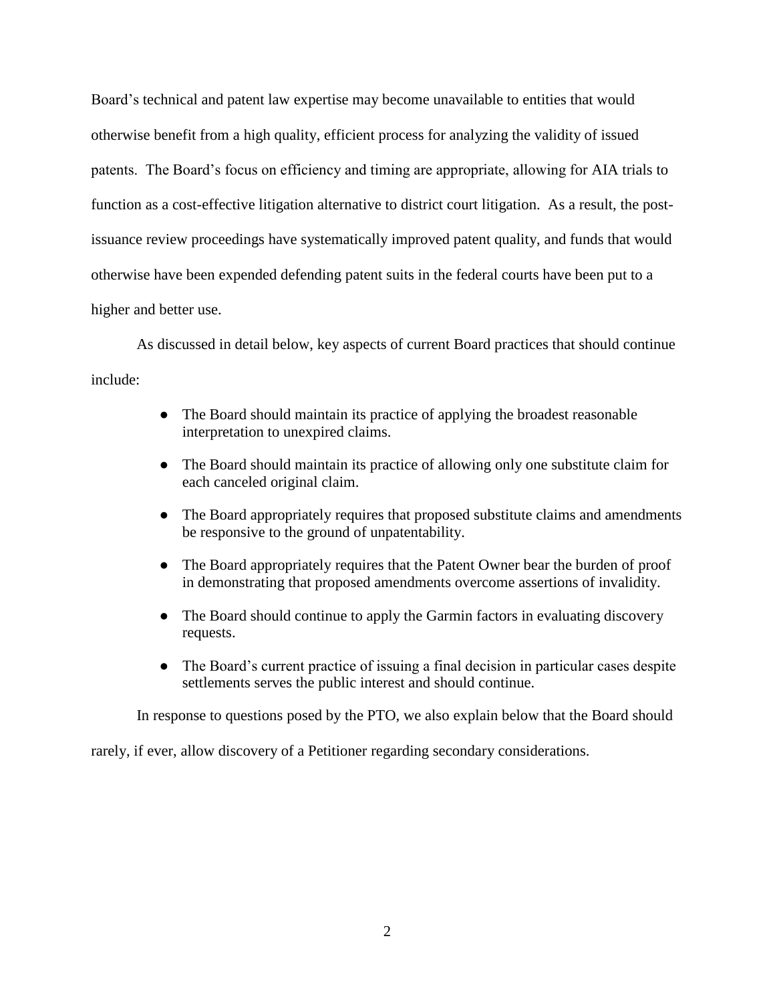Board's technical and patent law expertise may become unavailable to entities that would otherwise benefit from a high quality, efficient process for analyzing the validity of issued patents. The Board's focus on efficiency and timing are appropriate, allowing for AIA trials to function as a cost-effective litigation alternative to district court litigation. As a result, the postissuance review proceedings have systematically improved patent quality, and funds that would otherwise have been expended defending patent suits in the federal courts have been put to a higher and better use.

As discussed in detail below, key aspects of current Board practices that should continue include:

- The Board should maintain its practice of applying the broadest reasonable interpretation to unexpired claims.
- The Board should maintain its practice of allowing only one substitute claim for each canceled original claim.
- The Board appropriately requires that proposed substitute claims and amendments be responsive to the ground of unpatentability.
- The Board appropriately requires that the Patent Owner bear the burden of proof in demonstrating that proposed amendments overcome assertions of invalidity.
- The Board should continue to apply the Garmin factors in evaluating discovery requests.
- The Board's current practice of issuing a final decision in particular cases despite settlements serves the public interest and should continue.

In response to questions posed by the PTO, we also explain below that the Board should

rarely, if ever, allow discovery of a Petitioner regarding secondary considerations.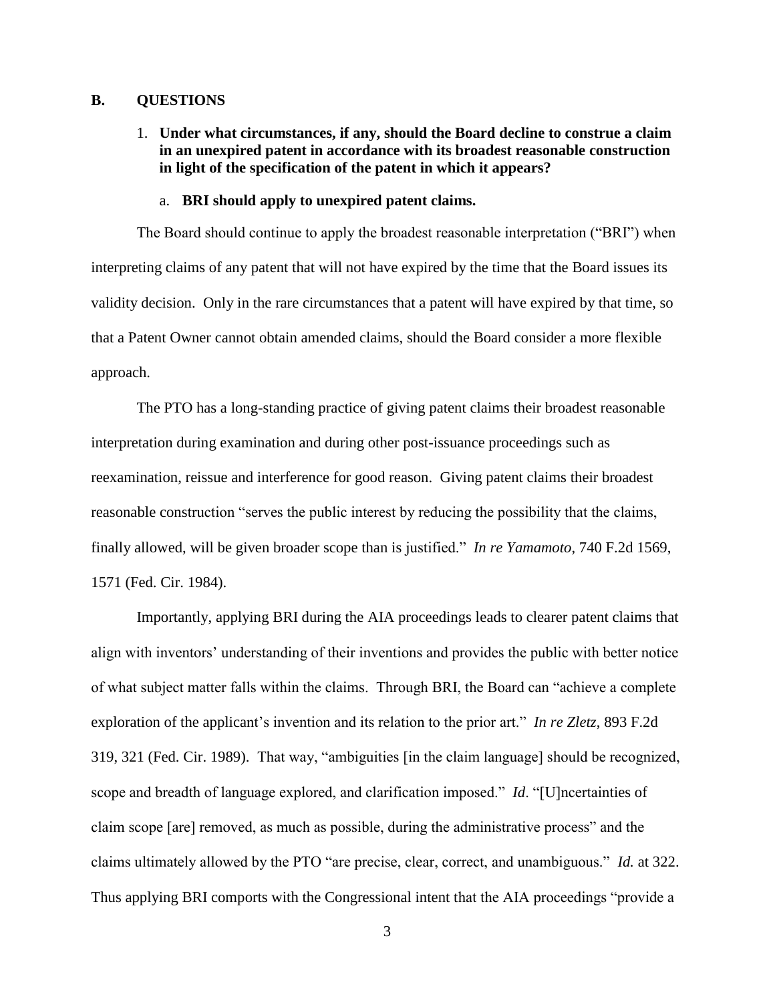#### **B. QUESTIONS**

1. **Under what circumstances, if any, should the Board decline to construe a claim in an unexpired patent in accordance with its broadest reasonable construction in light of the specification of the patent in which it appears?**

#### a. **BRI should apply to unexpired patent claims.**

The Board should continue to apply the broadest reasonable interpretation ("BRI") when interpreting claims of any patent that will not have expired by the time that the Board issues its validity decision. Only in the rare circumstances that a patent will have expired by that time, so that a Patent Owner cannot obtain amended claims, should the Board consider a more flexible approach.

The PTO has a long-standing practice of giving patent claims their broadest reasonable interpretation during examination and during other post-issuance proceedings such as reexamination, reissue and interference for good reason. Giving patent claims their broadest reasonable construction "serves the public interest by reducing the possibility that the claims, finally allowed, will be given broader scope than is justified." *In re Yamamoto*, 740 F.2d 1569, 1571 (Fed. Cir. 1984).

Importantly, applying BRI during the AIA proceedings leads to clearer patent claims that align with inventors' understanding of their inventions and provides the public with better notice of what subject matter falls within the claims. Through BRI, the Board can "achieve a complete exploration of the applicant's invention and its relation to the prior art." *In re Zletz*, 893 F.2d 319, 321 (Fed. Cir. 1989). That way, "ambiguities [in the claim language] should be recognized, scope and breadth of language explored, and clarification imposed." *Id*. "[U]ncertainties of claim scope [are] removed, as much as possible, during the administrative process" and the claims ultimately allowed by the PTO "are precise, clear, correct, and unambiguous." *Id.* at 322. Thus applying BRI comports with the Congressional intent that the AIA proceedings "provide a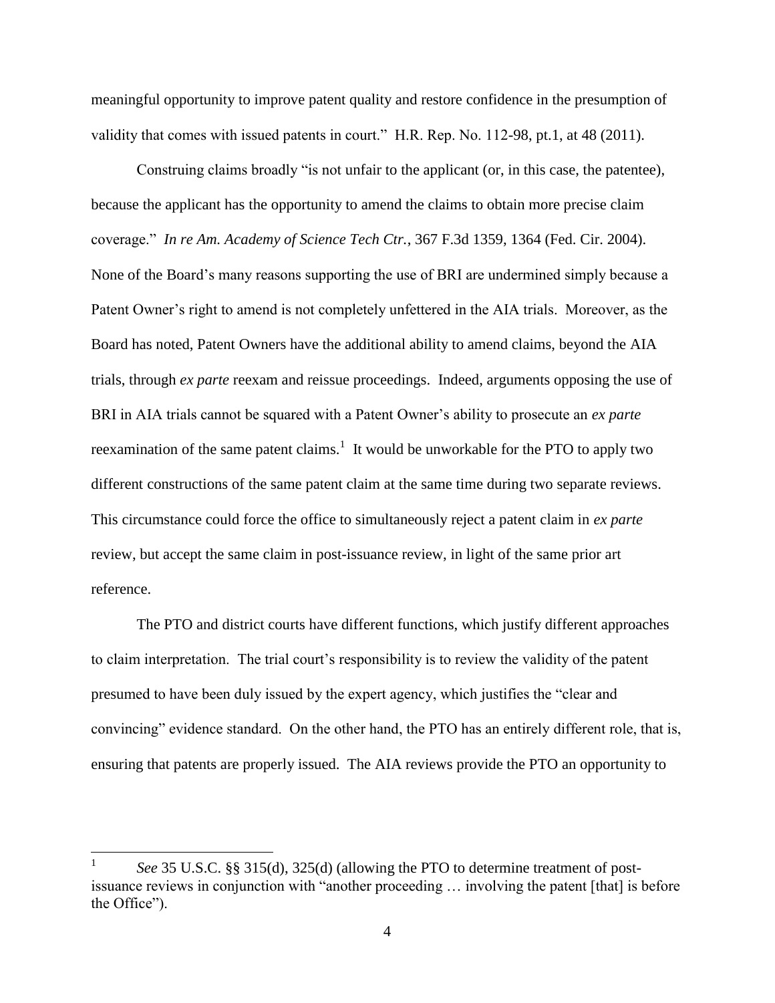meaningful opportunity to improve patent quality and restore confidence in the presumption of validity that comes with issued patents in court." H.R. Rep. No. 112-98, pt.1, at 48 (2011).

Construing claims broadly "is not unfair to the applicant (or, in this case, the patentee), because the applicant has the opportunity to amend the claims to obtain more precise claim coverage." *In re Am. Academy of Science Tech Ctr.*, 367 F.3d 1359, 1364 (Fed. Cir. 2004). None of the Board's many reasons supporting the use of BRI are undermined simply because a Patent Owner's right to amend is not completely unfettered in the AIA trials. Moreover, as the Board has noted, Patent Owners have the additional ability to amend claims, beyond the AIA trials, through *ex parte* reexam and reissue proceedings. Indeed, arguments opposing the use of BRI in AIA trials cannot be squared with a Patent Owner's ability to prosecute an *ex parte*  reexamination of the same patent claims.<sup>1</sup> It would be unworkable for the PTO to apply two different constructions of the same patent claim at the same time during two separate reviews. This circumstance could force the office to simultaneously reject a patent claim in *ex parte*  review, but accept the same claim in post-issuance review, in light of the same prior art reference.

The PTO and district courts have different functions, which justify different approaches to claim interpretation. The trial court's responsibility is to review the validity of the patent presumed to have been duly issued by the expert agency, which justifies the "clear and convincing" evidence standard. On the other hand, the PTO has an entirely different role, that is, ensuring that patents are properly issued. The AIA reviews provide the PTO an opportunity to

 $\overline{a}$ 

<sup>1</sup> *See* 35 U.S.C. §§ 315(d), 325(d) (allowing the PTO to determine treatment of postissuance reviews in conjunction with "another proceeding … involving the patent [that] is before the Office").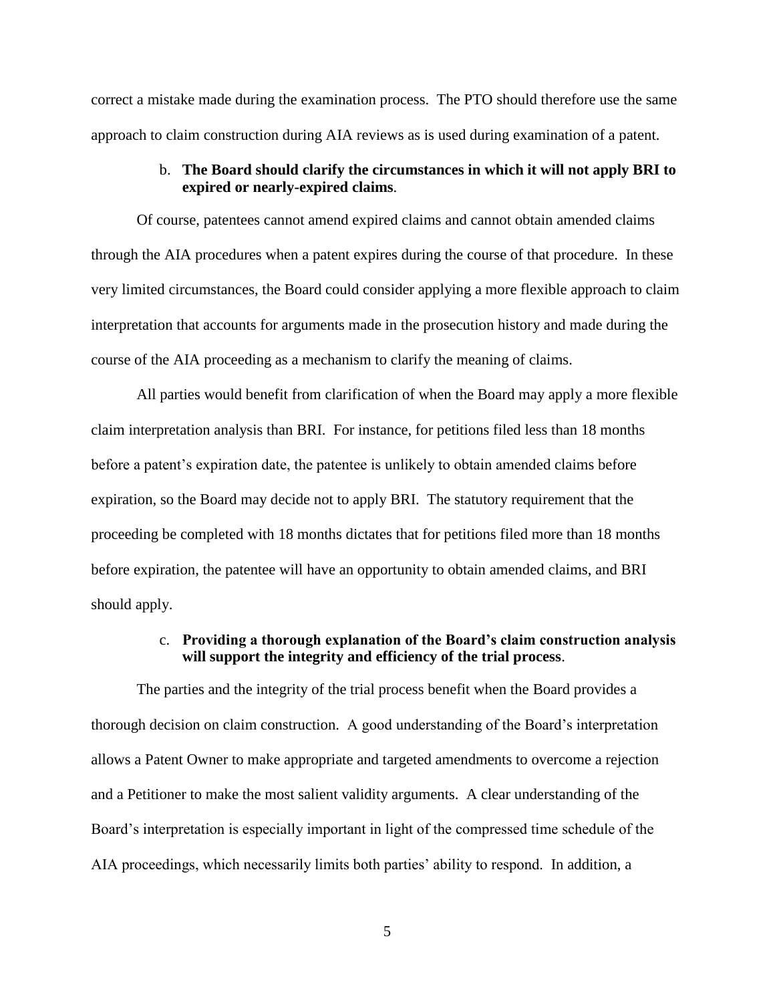correct a mistake made during the examination process. The PTO should therefore use the same approach to claim construction during AIA reviews as is used during examination of a patent.

### b. **The Board should clarify the circumstances in which it will not apply BRI to expired or nearly-expired claims**.

Of course, patentees cannot amend expired claims and cannot obtain amended claims through the AIA procedures when a patent expires during the course of that procedure. In these very limited circumstances, the Board could consider applying a more flexible approach to claim interpretation that accounts for arguments made in the prosecution history and made during the course of the AIA proceeding as a mechanism to clarify the meaning of claims.

All parties would benefit from clarification of when the Board may apply a more flexible claim interpretation analysis than BRI. For instance, for petitions filed less than 18 months before a patent's expiration date, the patentee is unlikely to obtain amended claims before expiration, so the Board may decide not to apply BRI. The statutory requirement that the proceeding be completed with 18 months dictates that for petitions filed more than 18 months before expiration, the patentee will have an opportunity to obtain amended claims, and BRI should apply.

### c. **Providing a thorough explanation of the Board's claim construction analysis will support the integrity and efficiency of the trial process**.

The parties and the integrity of the trial process benefit when the Board provides a thorough decision on claim construction. A good understanding of the Board's interpretation allows a Patent Owner to make appropriate and targeted amendments to overcome a rejection and a Petitioner to make the most salient validity arguments. A clear understanding of the Board's interpretation is especially important in light of the compressed time schedule of the AIA proceedings, which necessarily limits both parties' ability to respond. In addition, a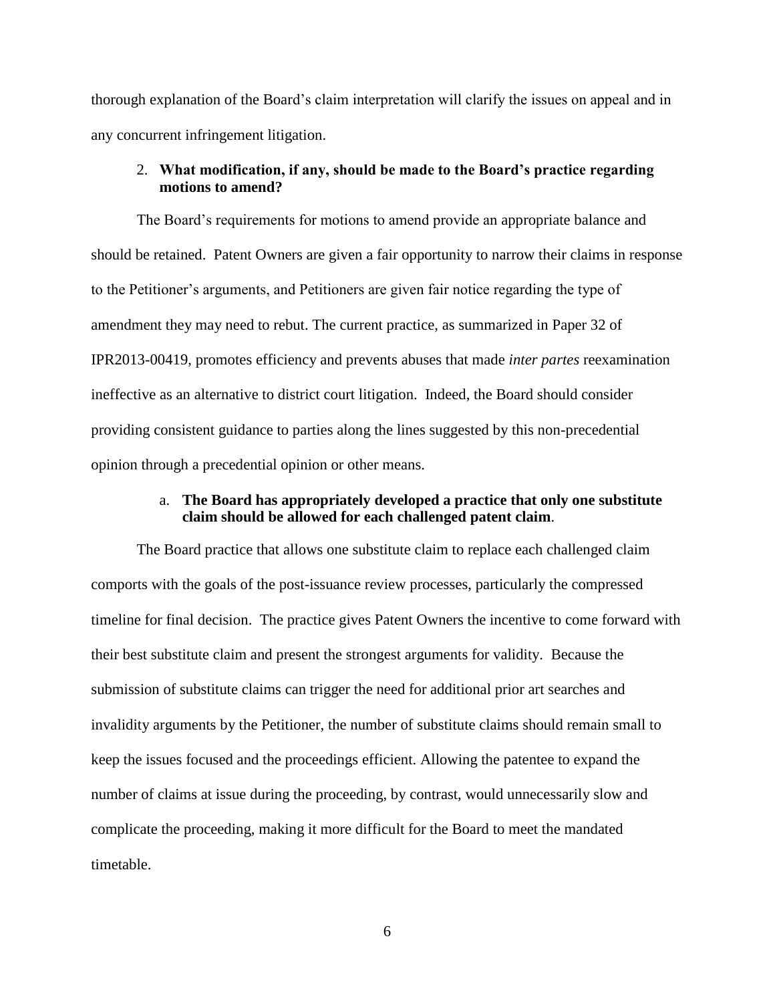thorough explanation of the Board's claim interpretation will clarify the issues on appeal and in any concurrent infringement litigation.

### 2. **What modification, if any, should be made to the Board's practice regarding motions to amend?**

The Board's requirements for motions to amend provide an appropriate balance and should be retained. Patent Owners are given a fair opportunity to narrow their claims in response to the Petitioner's arguments, and Petitioners are given fair notice regarding the type of amendment they may need to rebut. The current practice, as summarized in Paper 32 of IPR2013-00419, promotes efficiency and prevents abuses that made *inter partes* reexamination ineffective as an alternative to district court litigation. Indeed, the Board should consider providing consistent guidance to parties along the lines suggested by this non-precedential opinion through a precedential opinion or other means.

#### a. **The Board has appropriately developed a practice that only one substitute claim should be allowed for each challenged patent claim**.

The Board practice that allows one substitute claim to replace each challenged claim comports with the goals of the post-issuance review processes, particularly the compressed timeline for final decision. The practice gives Patent Owners the incentive to come forward with their best substitute claim and present the strongest arguments for validity. Because the submission of substitute claims can trigger the need for additional prior art searches and invalidity arguments by the Petitioner, the number of substitute claims should remain small to keep the issues focused and the proceedings efficient. Allowing the patentee to expand the number of claims at issue during the proceeding, by contrast, would unnecessarily slow and complicate the proceeding, making it more difficult for the Board to meet the mandated timetable.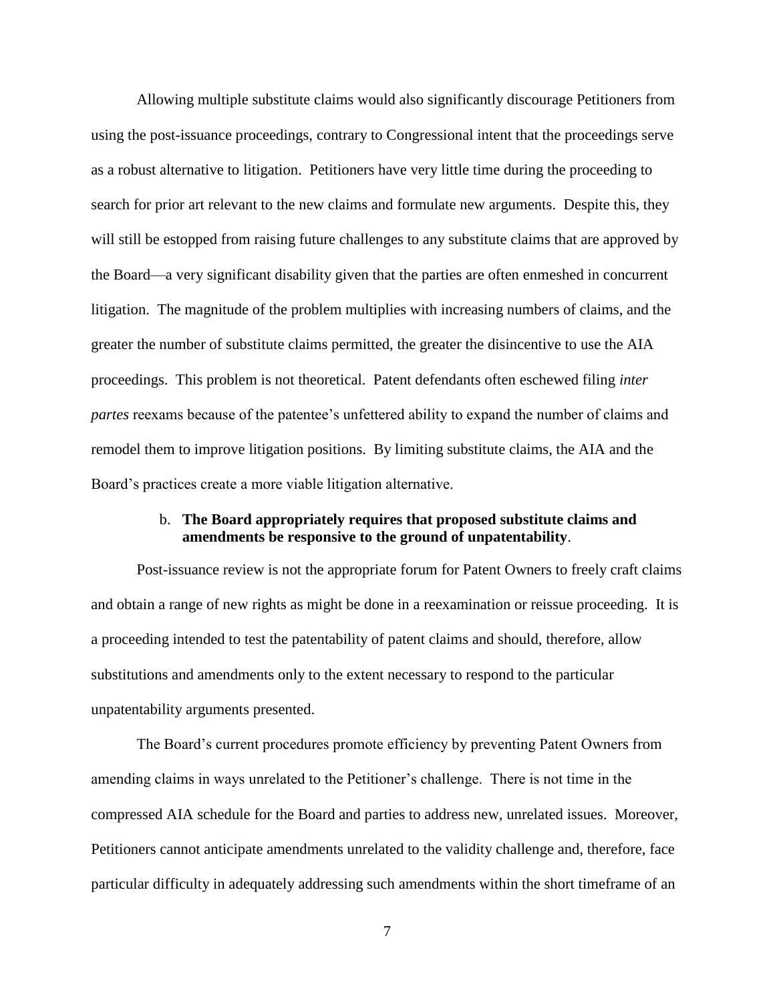Allowing multiple substitute claims would also significantly discourage Petitioners from using the post-issuance proceedings, contrary to Congressional intent that the proceedings serve as a robust alternative to litigation. Petitioners have very little time during the proceeding to search for prior art relevant to the new claims and formulate new arguments. Despite this, they will still be estopped from raising future challenges to any substitute claims that are approved by the Board—a very significant disability given that the parties are often enmeshed in concurrent litigation. The magnitude of the problem multiplies with increasing numbers of claims, and the greater the number of substitute claims permitted, the greater the disincentive to use the AIA proceedings. This problem is not theoretical. Patent defendants often eschewed filing *inter partes* reexams because of the patentee's unfettered ability to expand the number of claims and remodel them to improve litigation positions. By limiting substitute claims, the AIA and the Board's practices create a more viable litigation alternative.

### b. **The Board appropriately requires that proposed substitute claims and amendments be responsive to the ground of unpatentability**.

Post-issuance review is not the appropriate forum for Patent Owners to freely craft claims and obtain a range of new rights as might be done in a reexamination or reissue proceeding. It is a proceeding intended to test the patentability of patent claims and should, therefore, allow substitutions and amendments only to the extent necessary to respond to the particular unpatentability arguments presented.

The Board's current procedures promote efficiency by preventing Patent Owners from amending claims in ways unrelated to the Petitioner's challenge. There is not time in the compressed AIA schedule for the Board and parties to address new, unrelated issues. Moreover, Petitioners cannot anticipate amendments unrelated to the validity challenge and, therefore, face particular difficulty in adequately addressing such amendments within the short timeframe of an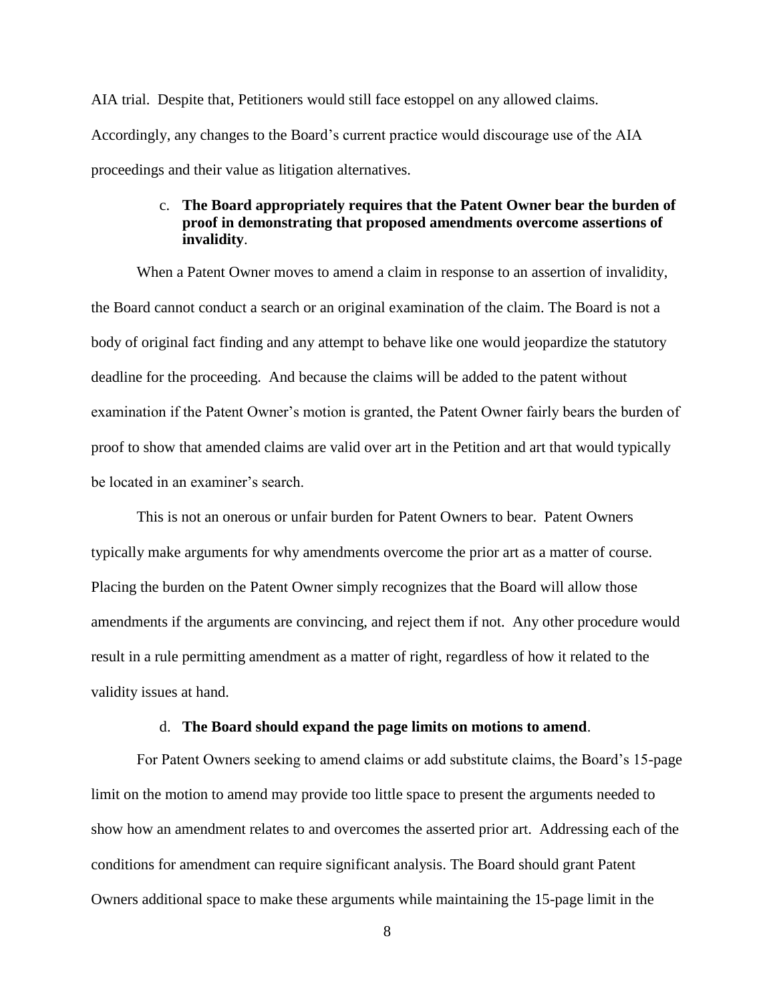AIA trial. Despite that, Petitioners would still face estoppel on any allowed claims. Accordingly, any changes to the Board's current practice would discourage use of the AIA proceedings and their value as litigation alternatives.

### c. **The Board appropriately requires that the Patent Owner bear the burden of proof in demonstrating that proposed amendments overcome assertions of invalidity**.

When a Patent Owner moves to amend a claim in response to an assertion of invalidity, the Board cannot conduct a search or an original examination of the claim. The Board is not a body of original fact finding and any attempt to behave like one would jeopardize the statutory deadline for the proceeding. And because the claims will be added to the patent without examination if the Patent Owner's motion is granted, the Patent Owner fairly bears the burden of proof to show that amended claims are valid over art in the Petition and art that would typically be located in an examiner's search.

This is not an onerous or unfair burden for Patent Owners to bear. Patent Owners typically make arguments for why amendments overcome the prior art as a matter of course. Placing the burden on the Patent Owner simply recognizes that the Board will allow those amendments if the arguments are convincing, and reject them if not. Any other procedure would result in a rule permitting amendment as a matter of right, regardless of how it related to the validity issues at hand.

#### d. **The Board should expand the page limits on motions to amend**.

For Patent Owners seeking to amend claims or add substitute claims, the Board's 15-page limit on the motion to amend may provide too little space to present the arguments needed to show how an amendment relates to and overcomes the asserted prior art. Addressing each of the conditions for amendment can require significant analysis. The Board should grant Patent Owners additional space to make these arguments while maintaining the 15-page limit in the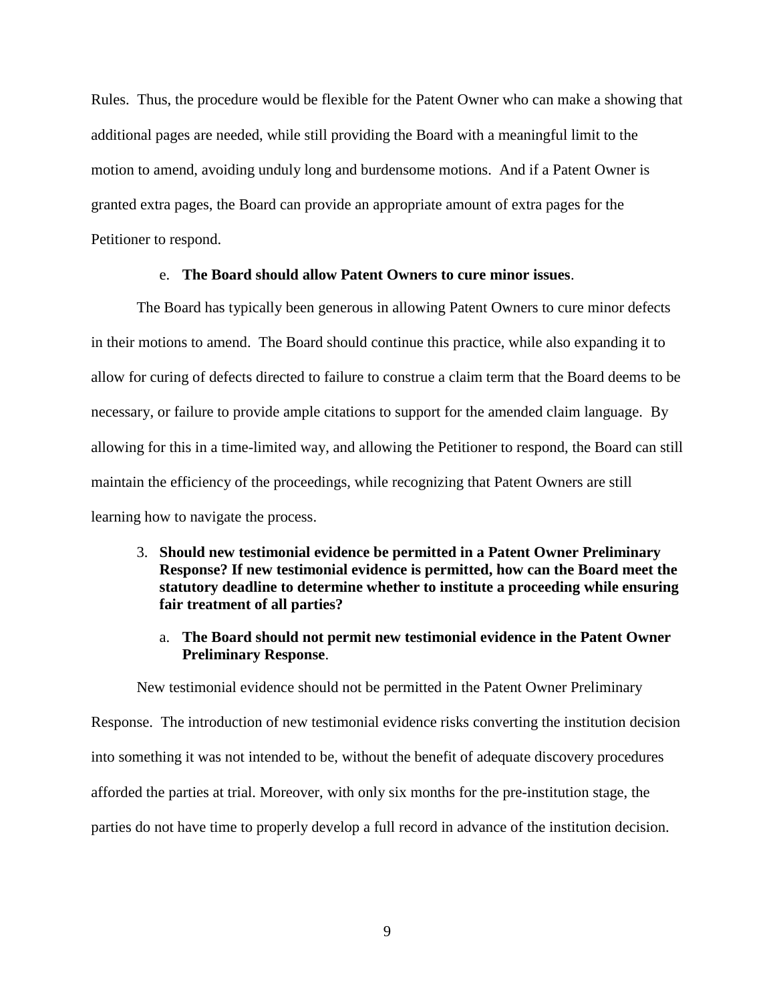Rules. Thus, the procedure would be flexible for the Patent Owner who can make a showing that additional pages are needed, while still providing the Board with a meaningful limit to the motion to amend, avoiding unduly long and burdensome motions. And if a Patent Owner is granted extra pages, the Board can provide an appropriate amount of extra pages for the Petitioner to respond.

### e. **The Board should allow Patent Owners to cure minor issues**.

The Board has typically been generous in allowing Patent Owners to cure minor defects in their motions to amend. The Board should continue this practice, while also expanding it to allow for curing of defects directed to failure to construe a claim term that the Board deems to be necessary, or failure to provide ample citations to support for the amended claim language. By allowing for this in a time-limited way, and allowing the Petitioner to respond, the Board can still maintain the efficiency of the proceedings, while recognizing that Patent Owners are still learning how to navigate the process.

- 3. **Should new testimonial evidence be permitted in a Patent Owner Preliminary Response? If new testimonial evidence is permitted, how can the Board meet the statutory deadline to determine whether to institute a proceeding while ensuring fair treatment of all parties?**
	- a. **The Board should not permit new testimonial evidence in the Patent Owner Preliminary Response**.

New testimonial evidence should not be permitted in the Patent Owner Preliminary Response. The introduction of new testimonial evidence risks converting the institution decision into something it was not intended to be, without the benefit of adequate discovery procedures afforded the parties at trial. Moreover, with only six months for the pre-institution stage, the parties do not have time to properly develop a full record in advance of the institution decision.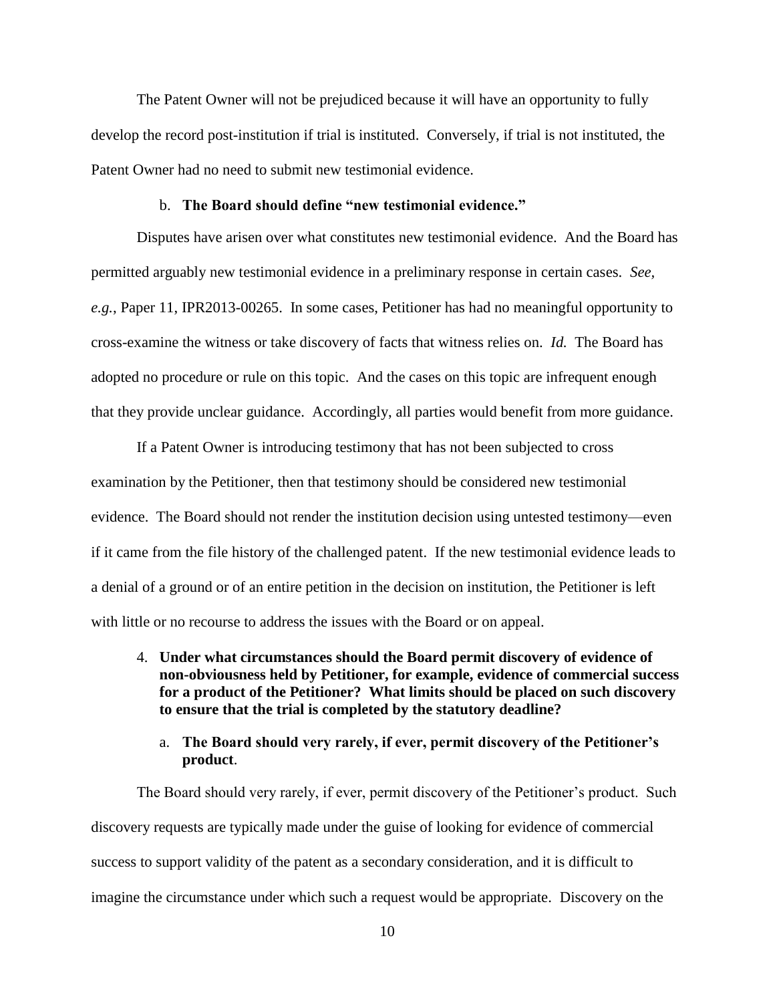The Patent Owner will not be prejudiced because it will have an opportunity to fully develop the record post-institution if trial is instituted. Conversely, if trial is not instituted, the Patent Owner had no need to submit new testimonial evidence.

#### b. **The Board should define "new testimonial evidence."**

Disputes have arisen over what constitutes new testimonial evidence. And the Board has permitted arguably new testimonial evidence in a preliminary response in certain cases. *See, e.g.*, Paper 11, IPR2013-00265. In some cases, Petitioner has had no meaningful opportunity to cross-examine the witness or take discovery of facts that witness relies on. *Id.* The Board has adopted no procedure or rule on this topic. And the cases on this topic are infrequent enough that they provide unclear guidance. Accordingly, all parties would benefit from more guidance.

If a Patent Owner is introducing testimony that has not been subjected to cross examination by the Petitioner, then that testimony should be considered new testimonial evidence. The Board should not render the institution decision using untested testimony—even if it came from the file history of the challenged patent. If the new testimonial evidence leads to a denial of a ground or of an entire petition in the decision on institution, the Petitioner is left with little or no recourse to address the issues with the Board or on appeal.

4. **Under what circumstances should the Board permit discovery of evidence of non-obviousness held by Petitioner, for example, evidence of commercial success for a product of the Petitioner? What limits should be placed on such discovery to ensure that the trial is completed by the statutory deadline?**

### a. **The Board should very rarely, if ever, permit discovery of the Petitioner's product**.

The Board should very rarely, if ever, permit discovery of the Petitioner's product. Such discovery requests are typically made under the guise of looking for evidence of commercial success to support validity of the patent as a secondary consideration, and it is difficult to imagine the circumstance under which such a request would be appropriate. Discovery on the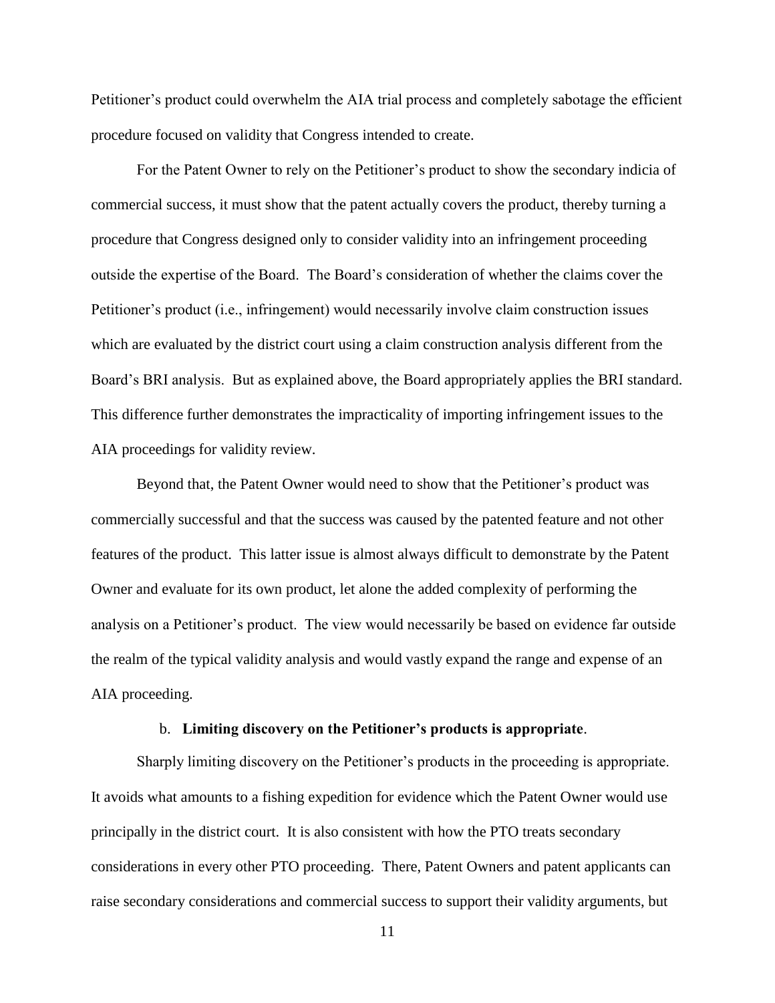Petitioner's product could overwhelm the AIA trial process and completely sabotage the efficient procedure focused on validity that Congress intended to create.

For the Patent Owner to rely on the Petitioner's product to show the secondary indicia of commercial success, it must show that the patent actually covers the product, thereby turning a procedure that Congress designed only to consider validity into an infringement proceeding outside the expertise of the Board. The Board's consideration of whether the claims cover the Petitioner's product (i.e., infringement) would necessarily involve claim construction issues which are evaluated by the district court using a claim construction analysis different from the Board's BRI analysis. But as explained above, the Board appropriately applies the BRI standard. This difference further demonstrates the impracticality of importing infringement issues to the AIA proceedings for validity review.

Beyond that, the Patent Owner would need to show that the Petitioner's product was commercially successful and that the success was caused by the patented feature and not other features of the product. This latter issue is almost always difficult to demonstrate by the Patent Owner and evaluate for its own product, let alone the added complexity of performing the analysis on a Petitioner's product. The view would necessarily be based on evidence far outside the realm of the typical validity analysis and would vastly expand the range and expense of an AIA proceeding.

#### b. **Limiting discovery on the Petitioner's products is appropriate**.

Sharply limiting discovery on the Petitioner's products in the proceeding is appropriate. It avoids what amounts to a fishing expedition for evidence which the Patent Owner would use principally in the district court. It is also consistent with how the PTO treats secondary considerations in every other PTO proceeding. There, Patent Owners and patent applicants can raise secondary considerations and commercial success to support their validity arguments, but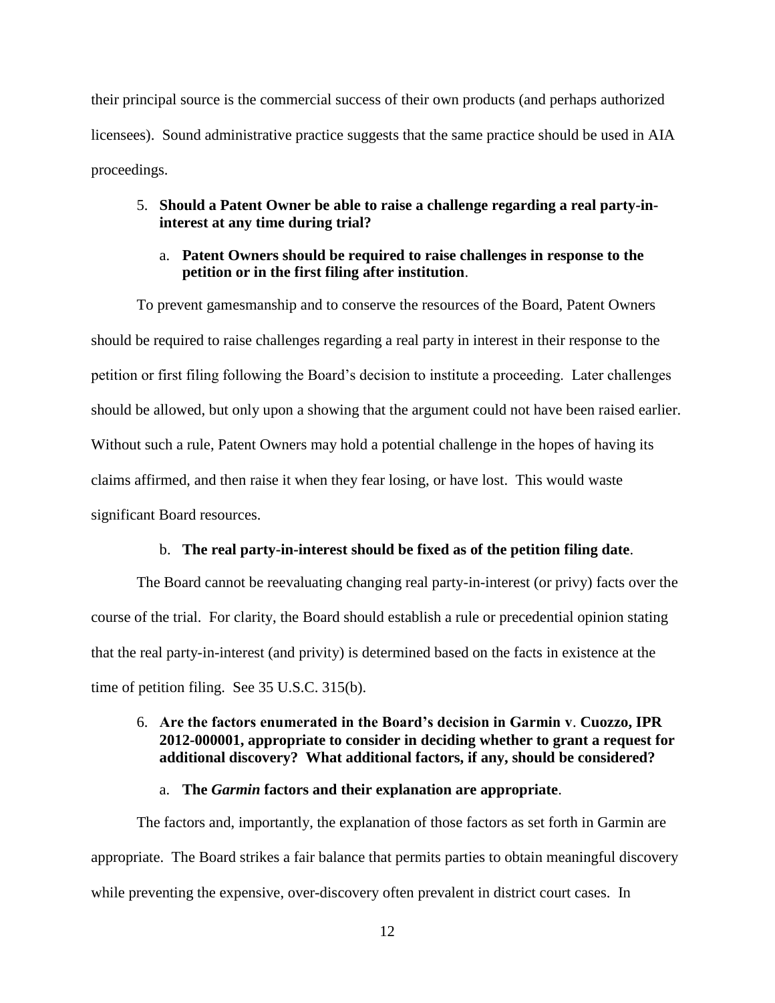their principal source is the commercial success of their own products (and perhaps authorized licensees). Sound administrative practice suggests that the same practice should be used in AIA proceedings.

## 5. **Should a Patent Owner be able to raise a challenge regarding a real party-ininterest at any time during trial?**

### a. **Patent Owners should be required to raise challenges in response to the petition or in the first filing after institution**.

To prevent gamesmanship and to conserve the resources of the Board, Patent Owners should be required to raise challenges regarding a real party in interest in their response to the petition or first filing following the Board's decision to institute a proceeding. Later challenges should be allowed, but only upon a showing that the argument could not have been raised earlier. Without such a rule, Patent Owners may hold a potential challenge in the hopes of having its claims affirmed, and then raise it when they fear losing, or have lost. This would waste significant Board resources.

#### b. **The real party-in-interest should be fixed as of the petition filing date**.

The Board cannot be reevaluating changing real party-in-interest (or privy) facts over the course of the trial. For clarity, the Board should establish a rule or precedential opinion stating that the real party-in-interest (and privity) is determined based on the facts in existence at the time of petition filing. See 35 U.S.C. 315(b).

### 6. **Are the factors enumerated in the Board's decision in Garmin v**. **Cuozzo, IPR 2012-000001, appropriate to consider in deciding whether to grant a request for additional discovery? What additional factors, if any, should be considered?**

#### a. **The** *Garmin* **factors and their explanation are appropriate**.

The factors and, importantly, the explanation of those factors as set forth in Garmin are appropriate. The Board strikes a fair balance that permits parties to obtain meaningful discovery while preventing the expensive, over-discovery often prevalent in district court cases. In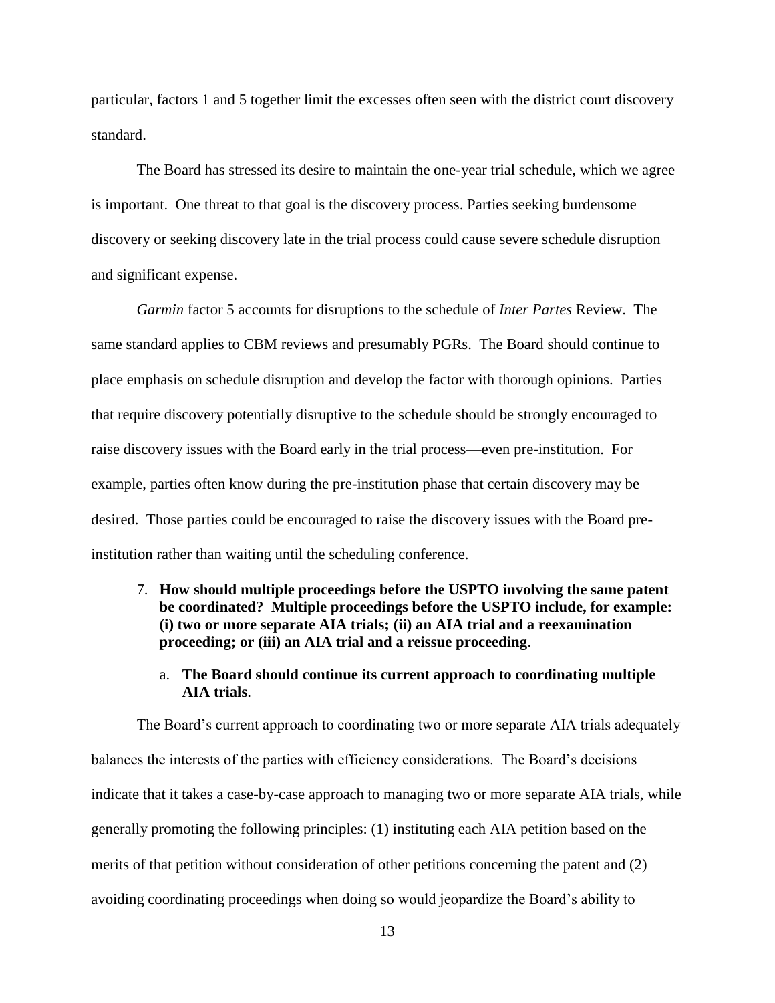particular, factors 1 and 5 together limit the excesses often seen with the district court discovery standard.

The Board has stressed its desire to maintain the one-year trial schedule, which we agree is important. One threat to that goal is the discovery process. Parties seeking burdensome discovery or seeking discovery late in the trial process could cause severe schedule disruption and significant expense.

*Garmin* factor 5 accounts for disruptions to the schedule of *Inter Partes* Review. The same standard applies to CBM reviews and presumably PGRs. The Board should continue to place emphasis on schedule disruption and develop the factor with thorough opinions. Parties that require discovery potentially disruptive to the schedule should be strongly encouraged to raise discovery issues with the Board early in the trial process—even pre-institution. For example, parties often know during the pre-institution phase that certain discovery may be desired. Those parties could be encouraged to raise the discovery issues with the Board preinstitution rather than waiting until the scheduling conference.

- 7. **How should multiple proceedings before the USPTO involving the same patent be coordinated? Multiple proceedings before the USPTO include, for example: (i) two or more separate AIA trials; (ii) an AIA trial and a reexamination proceeding; or (iii) an AIA trial and a reissue proceeding**.
	- a. **The Board should continue its current approach to coordinating multiple AIA trials**.

The Board's current approach to coordinating two or more separate AIA trials adequately balances the interests of the parties with efficiency considerations. The Board's decisions indicate that it takes a case-by-case approach to managing two or more separate AIA trials, while generally promoting the following principles: (1) instituting each AIA petition based on the merits of that petition without consideration of other petitions concerning the patent and (2) avoiding coordinating proceedings when doing so would jeopardize the Board's ability to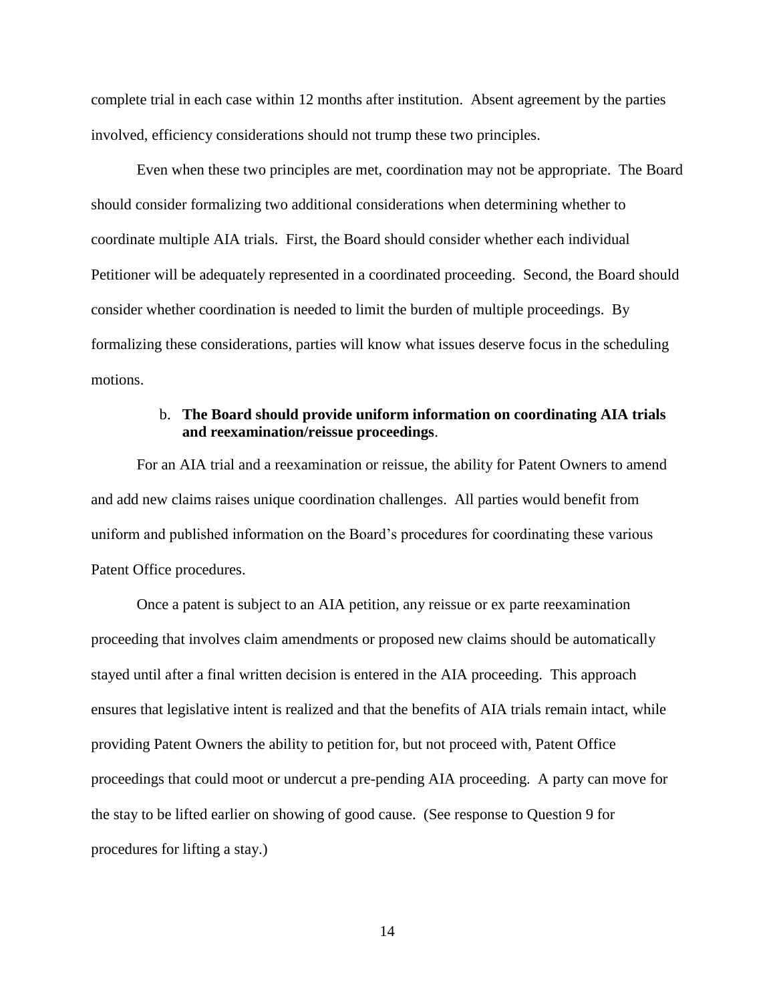complete trial in each case within 12 months after institution. Absent agreement by the parties involved, efficiency considerations should not trump these two principles.

Even when these two principles are met, coordination may not be appropriate. The Board should consider formalizing two additional considerations when determining whether to coordinate multiple AIA trials. First, the Board should consider whether each individual Petitioner will be adequately represented in a coordinated proceeding. Second, the Board should consider whether coordination is needed to limit the burden of multiple proceedings. By formalizing these considerations, parties will know what issues deserve focus in the scheduling motions.

### b. **The Board should provide uniform information on coordinating AIA trials and reexamination/reissue proceedings**.

For an AIA trial and a reexamination or reissue, the ability for Patent Owners to amend and add new claims raises unique coordination challenges. All parties would benefit from uniform and published information on the Board's procedures for coordinating these various Patent Office procedures.

Once a patent is subject to an AIA petition, any reissue or ex parte reexamination proceeding that involves claim amendments or proposed new claims should be automatically stayed until after a final written decision is entered in the AIA proceeding. This approach ensures that legislative intent is realized and that the benefits of AIA trials remain intact, while providing Patent Owners the ability to petition for, but not proceed with, Patent Office proceedings that could moot or undercut a pre-pending AIA proceeding. A party can move for the stay to be lifted earlier on showing of good cause. (See response to Question 9 for procedures for lifting a stay.)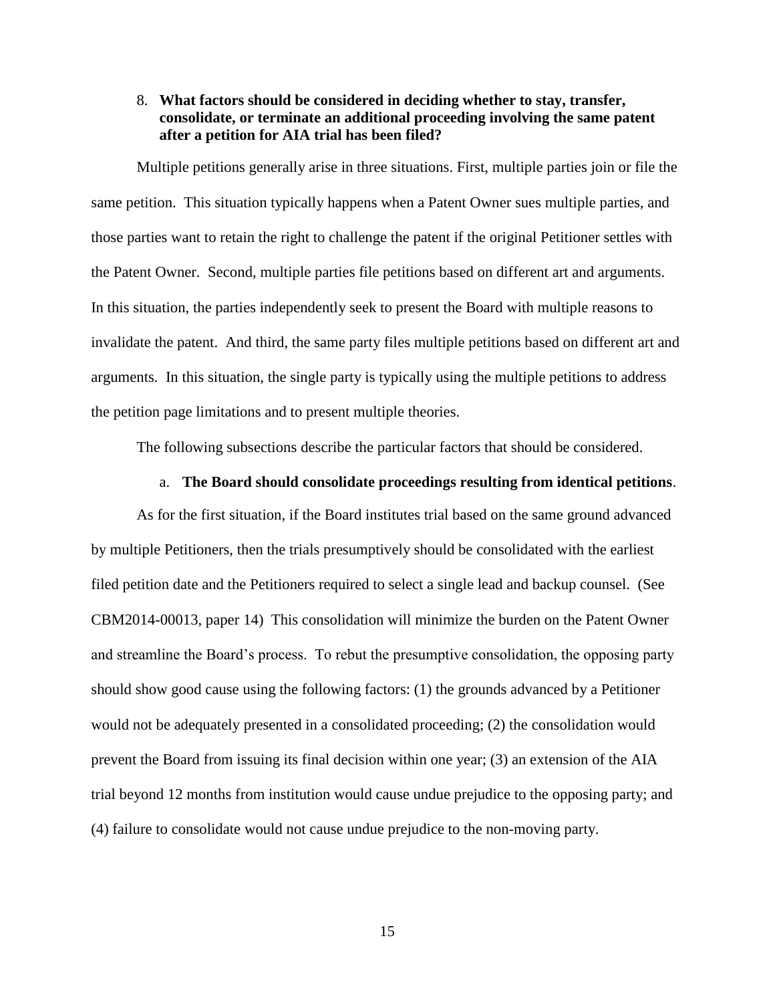### 8. **What factors should be considered in deciding whether to stay, transfer, consolidate, or terminate an additional proceeding involving the same patent after a petition for AIA trial has been filed?**

Multiple petitions generally arise in three situations. First, multiple parties join or file the same petition. This situation typically happens when a Patent Owner sues multiple parties, and those parties want to retain the right to challenge the patent if the original Petitioner settles with the Patent Owner. Second, multiple parties file petitions based on different art and arguments. In this situation, the parties independently seek to present the Board with multiple reasons to invalidate the patent. And third, the same party files multiple petitions based on different art and arguments. In this situation, the single party is typically using the multiple petitions to address the petition page limitations and to present multiple theories.

The following subsections describe the particular factors that should be considered.

#### a. **The Board should consolidate proceedings resulting from identical petitions**.

As for the first situation, if the Board institutes trial based on the same ground advanced by multiple Petitioners, then the trials presumptively should be consolidated with the earliest filed petition date and the Petitioners required to select a single lead and backup counsel. (See CBM2014-00013, paper 14) This consolidation will minimize the burden on the Patent Owner and streamline the Board's process. To rebut the presumptive consolidation, the opposing party should show good cause using the following factors: (1) the grounds advanced by a Petitioner would not be adequately presented in a consolidated proceeding; (2) the consolidation would prevent the Board from issuing its final decision within one year; (3) an extension of the AIA trial beyond 12 months from institution would cause undue prejudice to the opposing party; and (4) failure to consolidate would not cause undue prejudice to the non-moving party.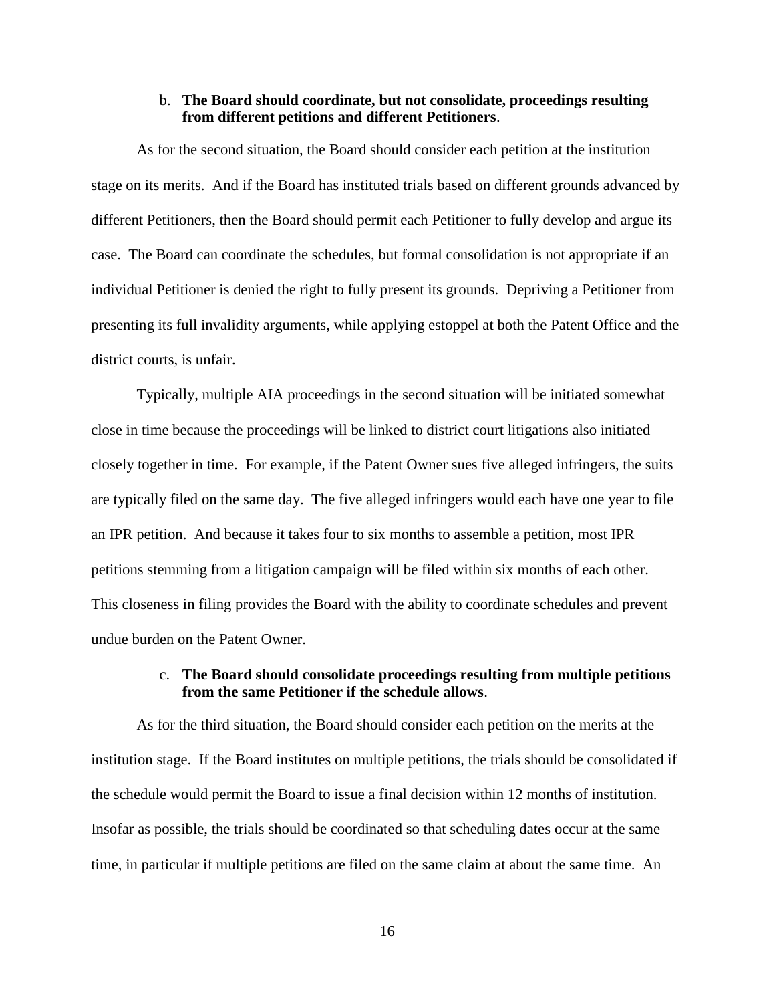#### b. **The Board should coordinate, but not consolidate, proceedings resulting from different petitions and different Petitioners**.

As for the second situation, the Board should consider each petition at the institution stage on its merits. And if the Board has instituted trials based on different grounds advanced by different Petitioners, then the Board should permit each Petitioner to fully develop and argue its case. The Board can coordinate the schedules, but formal consolidation is not appropriate if an individual Petitioner is denied the right to fully present its grounds. Depriving a Petitioner from presenting its full invalidity arguments, while applying estoppel at both the Patent Office and the district courts, is unfair.

Typically, multiple AIA proceedings in the second situation will be initiated somewhat close in time because the proceedings will be linked to district court litigations also initiated closely together in time. For example, if the Patent Owner sues five alleged infringers, the suits are typically filed on the same day. The five alleged infringers would each have one year to file an IPR petition. And because it takes four to six months to assemble a petition, most IPR petitions stemming from a litigation campaign will be filed within six months of each other. This closeness in filing provides the Board with the ability to coordinate schedules and prevent undue burden on the Patent Owner.

### c. **The Board should consolidate proceedings resulting from multiple petitions from the same Petitioner if the schedule allows**.

As for the third situation, the Board should consider each petition on the merits at the institution stage. If the Board institutes on multiple petitions, the trials should be consolidated if the schedule would permit the Board to issue a final decision within 12 months of institution. Insofar as possible, the trials should be coordinated so that scheduling dates occur at the same time, in particular if multiple petitions are filed on the same claim at about the same time. An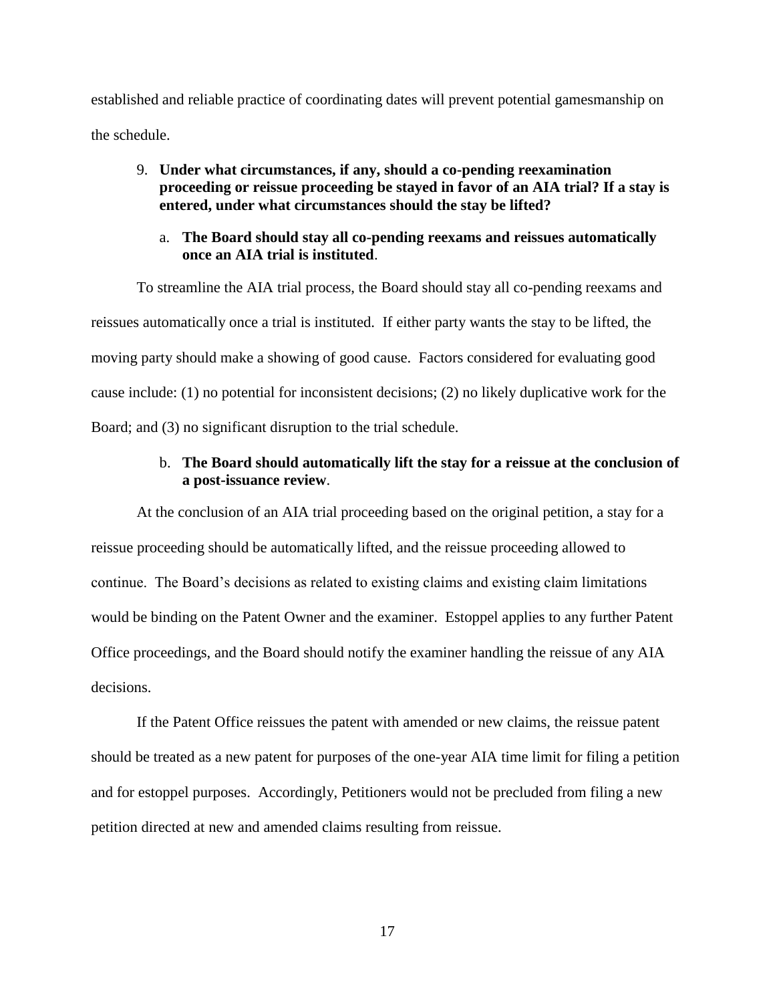established and reliable practice of coordinating dates will prevent potential gamesmanship on the schedule.

### 9. **Under what circumstances, if any, should a co-pending reexamination proceeding or reissue proceeding be stayed in favor of an AIA trial? If a stay is entered, under what circumstances should the stay be lifted?**

### a. **The Board should stay all co-pending reexams and reissues automatically once an AIA trial is instituted**.

To streamline the AIA trial process, the Board should stay all co-pending reexams and reissues automatically once a trial is instituted. If either party wants the stay to be lifted, the moving party should make a showing of good cause. Factors considered for evaluating good cause include: (1) no potential for inconsistent decisions; (2) no likely duplicative work for the Board; and (3) no significant disruption to the trial schedule.

### b. **The Board should automatically lift the stay for a reissue at the conclusion of a post-issuance review**.

At the conclusion of an AIA trial proceeding based on the original petition, a stay for a reissue proceeding should be automatically lifted, and the reissue proceeding allowed to continue. The Board's decisions as related to existing claims and existing claim limitations would be binding on the Patent Owner and the examiner. Estoppel applies to any further Patent Office proceedings, and the Board should notify the examiner handling the reissue of any AIA decisions.

If the Patent Office reissues the patent with amended or new claims, the reissue patent should be treated as a new patent for purposes of the one-year AIA time limit for filing a petition and for estoppel purposes. Accordingly, Petitioners would not be precluded from filing a new petition directed at new and amended claims resulting from reissue.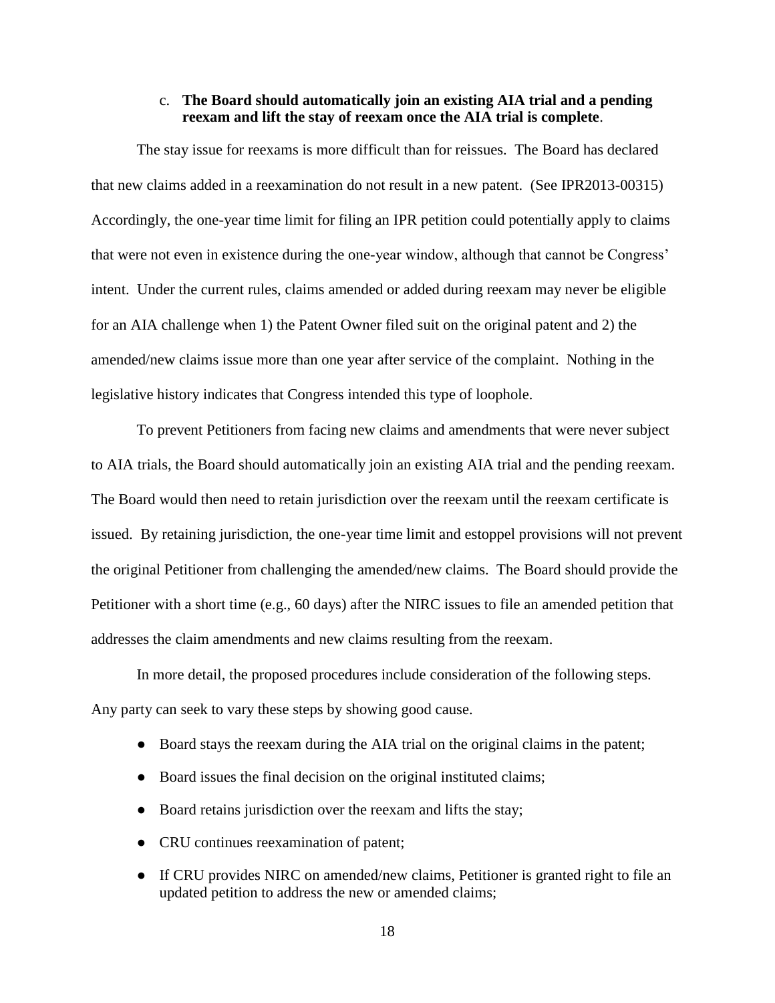#### c. **The Board should automatically join an existing AIA trial and a pending reexam and lift the stay of reexam once the AIA trial is complete**.

The stay issue for reexams is more difficult than for reissues. The Board has declared that new claims added in a reexamination do not result in a new patent. (See IPR2013-00315) Accordingly, the one-year time limit for filing an IPR petition could potentially apply to claims that were not even in existence during the one-year window, although that cannot be Congress' intent. Under the current rules, claims amended or added during reexam may never be eligible for an AIA challenge when 1) the Patent Owner filed suit on the original patent and 2) the amended/new claims issue more than one year after service of the complaint. Nothing in the legislative history indicates that Congress intended this type of loophole.

To prevent Petitioners from facing new claims and amendments that were never subject to AIA trials, the Board should automatically join an existing AIA trial and the pending reexam. The Board would then need to retain jurisdiction over the reexam until the reexam certificate is issued. By retaining jurisdiction, the one-year time limit and estoppel provisions will not prevent the original Petitioner from challenging the amended/new claims. The Board should provide the Petitioner with a short time (e.g., 60 days) after the NIRC issues to file an amended petition that addresses the claim amendments and new claims resulting from the reexam.

In more detail, the proposed procedures include consideration of the following steps. Any party can seek to vary these steps by showing good cause.

- Board stays the reexam during the AIA trial on the original claims in the patent;
- Board issues the final decision on the original instituted claims;
- Board retains jurisdiction over the reexam and lifts the stay;
- CRU continues reexamination of patent;
- If CRU provides NIRC on amended/new claims, Petitioner is granted right to file an updated petition to address the new or amended claims;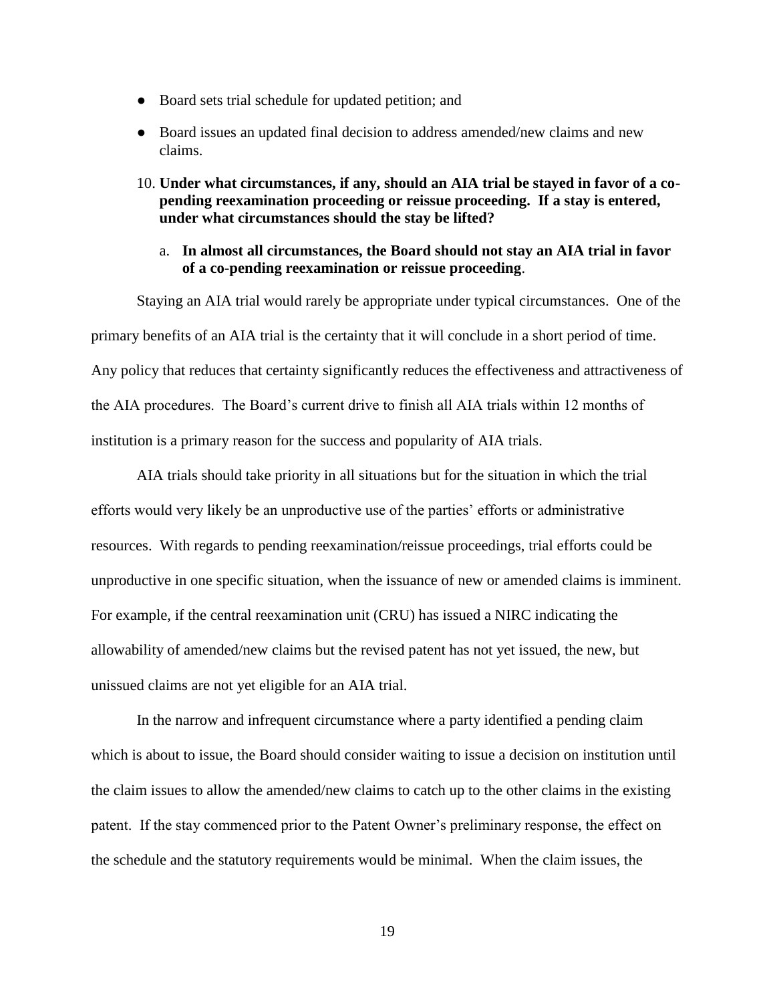- Board sets trial schedule for updated petition; and
- Board issues an updated final decision to address amended/new claims and new claims.
- 10. **Under what circumstances, if any, should an AIA trial be stayed in favor of a copending reexamination proceeding or reissue proceeding. If a stay is entered, under what circumstances should the stay be lifted?**
	- a. **In almost all circumstances, the Board should not stay an AIA trial in favor of a co-pending reexamination or reissue proceeding**.

Staying an AIA trial would rarely be appropriate under typical circumstances. One of the primary benefits of an AIA trial is the certainty that it will conclude in a short period of time. Any policy that reduces that certainty significantly reduces the effectiveness and attractiveness of the AIA procedures. The Board's current drive to finish all AIA trials within 12 months of institution is a primary reason for the success and popularity of AIA trials.

AIA trials should take priority in all situations but for the situation in which the trial efforts would very likely be an unproductive use of the parties' efforts or administrative resources. With regards to pending reexamination/reissue proceedings, trial efforts could be unproductive in one specific situation, when the issuance of new or amended claims is imminent. For example, if the central reexamination unit (CRU) has issued a NIRC indicating the allowability of amended/new claims but the revised patent has not yet issued, the new, but unissued claims are not yet eligible for an AIA trial.

In the narrow and infrequent circumstance where a party identified a pending claim which is about to issue, the Board should consider waiting to issue a decision on institution until the claim issues to allow the amended/new claims to catch up to the other claims in the existing patent. If the stay commenced prior to the Patent Owner's preliminary response, the effect on the schedule and the statutory requirements would be minimal. When the claim issues, the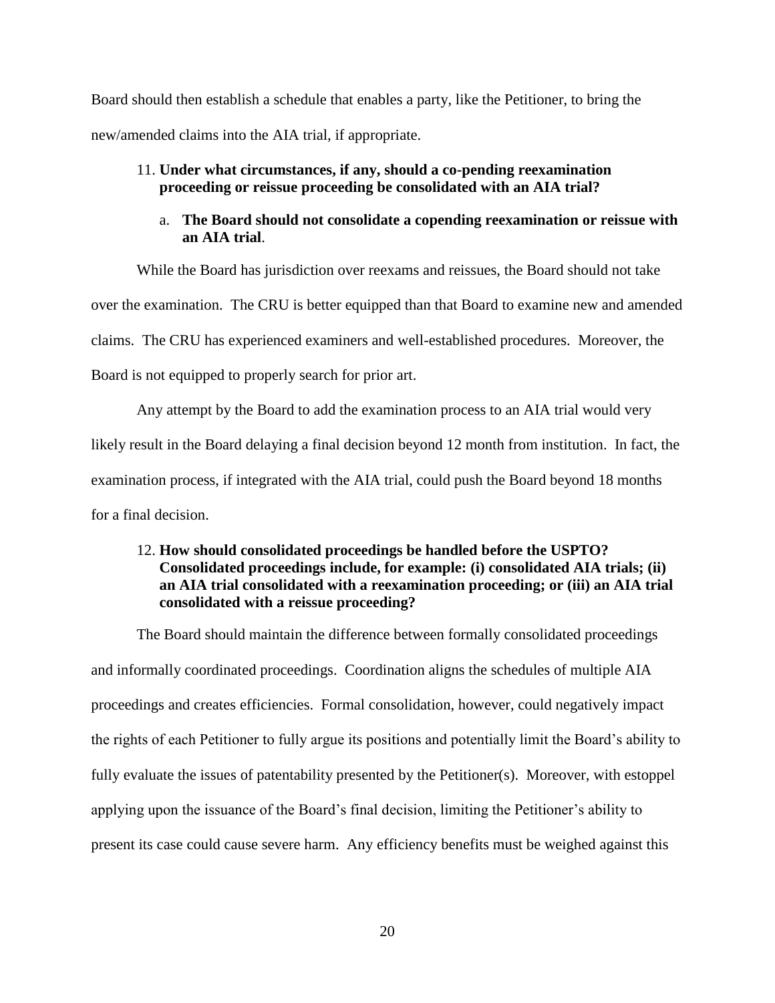Board should then establish a schedule that enables a party, like the Petitioner, to bring the new/amended claims into the AIA trial, if appropriate.

### 11. **Under what circumstances, if any, should a co-pending reexamination proceeding or reissue proceeding be consolidated with an AIA trial?**

### a. **The Board should not consolidate a copending reexamination or reissue with an AIA trial**.

While the Board has jurisdiction over reexams and reissues, the Board should not take over the examination. The CRU is better equipped than that Board to examine new and amended claims. The CRU has experienced examiners and well-established procedures. Moreover, the Board is not equipped to properly search for prior art.

Any attempt by the Board to add the examination process to an AIA trial would very likely result in the Board delaying a final decision beyond 12 month from institution. In fact, the examination process, if integrated with the AIA trial, could push the Board beyond 18 months for a final decision.

## 12. **How should consolidated proceedings be handled before the USPTO? Consolidated proceedings include, for example: (i) consolidated AIA trials; (ii) an AIA trial consolidated with a reexamination proceeding; or (iii) an AIA trial consolidated with a reissue proceeding?**

The Board should maintain the difference between formally consolidated proceedings and informally coordinated proceedings. Coordination aligns the schedules of multiple AIA proceedings and creates efficiencies. Formal consolidation, however, could negatively impact the rights of each Petitioner to fully argue its positions and potentially limit the Board's ability to fully evaluate the issues of patentability presented by the Petitioner(s). Moreover, with estoppel applying upon the issuance of the Board's final decision, limiting the Petitioner's ability to present its case could cause severe harm. Any efficiency benefits must be weighed against this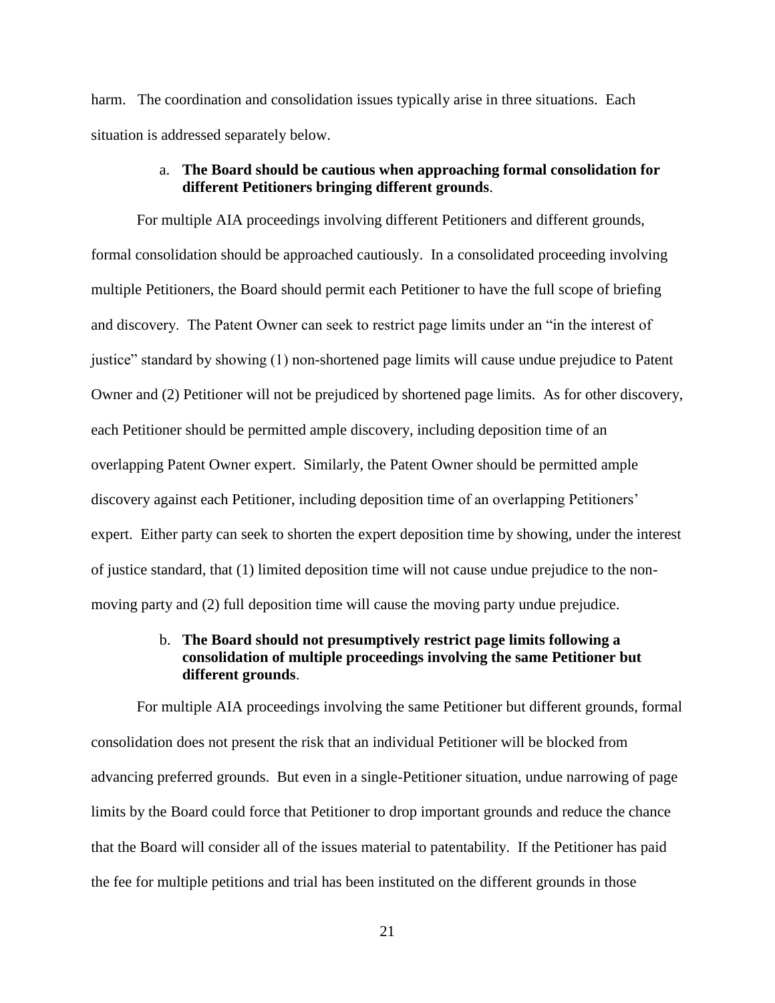harm. The coordination and consolidation issues typically arise in three situations. Each situation is addressed separately below.

#### a. **The Board should be cautious when approaching formal consolidation for different Petitioners bringing different grounds**.

For multiple AIA proceedings involving different Petitioners and different grounds, formal consolidation should be approached cautiously. In a consolidated proceeding involving multiple Petitioners, the Board should permit each Petitioner to have the full scope of briefing and discovery. The Patent Owner can seek to restrict page limits under an "in the interest of justice" standard by showing (1) non-shortened page limits will cause undue prejudice to Patent Owner and (2) Petitioner will not be prejudiced by shortened page limits. As for other discovery, each Petitioner should be permitted ample discovery, including deposition time of an overlapping Patent Owner expert. Similarly, the Patent Owner should be permitted ample discovery against each Petitioner, including deposition time of an overlapping Petitioners' expert. Either party can seek to shorten the expert deposition time by showing, under the interest of justice standard, that (1) limited deposition time will not cause undue prejudice to the nonmoving party and (2) full deposition time will cause the moving party undue prejudice.

### b. **The Board should not presumptively restrict page limits following a consolidation of multiple proceedings involving the same Petitioner but different grounds**.

For multiple AIA proceedings involving the same Petitioner but different grounds, formal consolidation does not present the risk that an individual Petitioner will be blocked from advancing preferred grounds. But even in a single-Petitioner situation, undue narrowing of page limits by the Board could force that Petitioner to drop important grounds and reduce the chance that the Board will consider all of the issues material to patentability. If the Petitioner has paid the fee for multiple petitions and trial has been instituted on the different grounds in those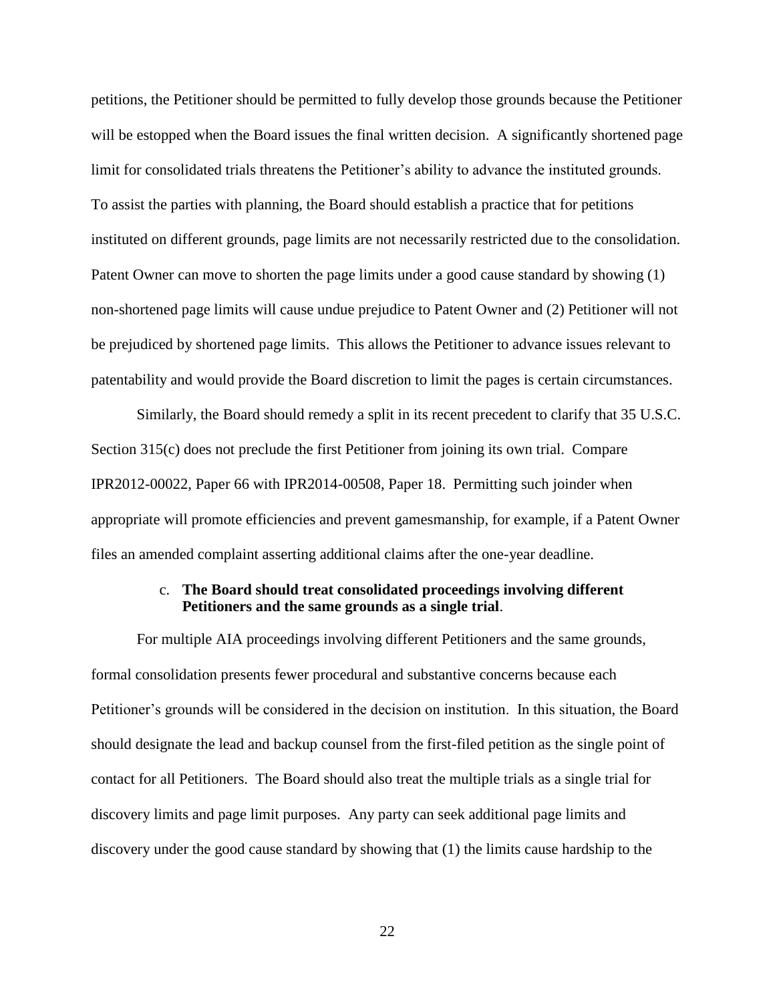petitions, the Petitioner should be permitted to fully develop those grounds because the Petitioner will be estopped when the Board issues the final written decision. A significantly shortened page limit for consolidated trials threatens the Petitioner's ability to advance the instituted grounds. To assist the parties with planning, the Board should establish a practice that for petitions instituted on different grounds, page limits are not necessarily restricted due to the consolidation. Patent Owner can move to shorten the page limits under a good cause standard by showing (1) non-shortened page limits will cause undue prejudice to Patent Owner and (2) Petitioner will not be prejudiced by shortened page limits. This allows the Petitioner to advance issues relevant to patentability and would provide the Board discretion to limit the pages is certain circumstances.

Similarly, the Board should remedy a split in its recent precedent to clarify that 35 U.S.C. Section 315(c) does not preclude the first Petitioner from joining its own trial. Compare IPR2012-00022, Paper 66 with IPR2014-00508, Paper 18. Permitting such joinder when appropriate will promote efficiencies and prevent gamesmanship, for example, if a Patent Owner files an amended complaint asserting additional claims after the one-year deadline.

#### c. **The Board should treat consolidated proceedings involving different Petitioners and the same grounds as a single trial**.

For multiple AIA proceedings involving different Petitioners and the same grounds, formal consolidation presents fewer procedural and substantive concerns because each Petitioner's grounds will be considered in the decision on institution. In this situation, the Board should designate the lead and backup counsel from the first-filed petition as the single point of contact for all Petitioners. The Board should also treat the multiple trials as a single trial for discovery limits and page limit purposes. Any party can seek additional page limits and discovery under the good cause standard by showing that (1) the limits cause hardship to the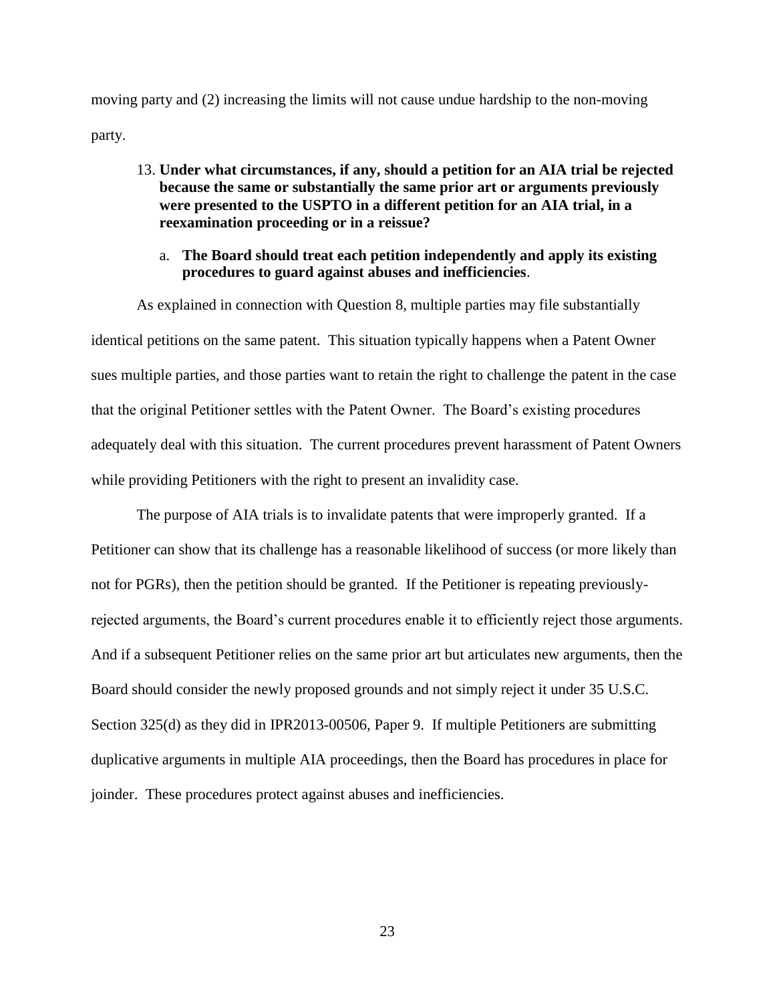moving party and (2) increasing the limits will not cause undue hardship to the non-moving party.

13. **Under what circumstances, if any, should a petition for an AIA trial be rejected because the same or substantially the same prior art or arguments previously were presented to the USPTO in a different petition for an AIA trial, in a reexamination proceeding or in a reissue?**

### a. **The Board should treat each petition independently and apply its existing procedures to guard against abuses and inefficiencies**.

As explained in connection with Question 8, multiple parties may file substantially identical petitions on the same patent. This situation typically happens when a Patent Owner sues multiple parties, and those parties want to retain the right to challenge the patent in the case that the original Petitioner settles with the Patent Owner. The Board's existing procedures adequately deal with this situation. The current procedures prevent harassment of Patent Owners while providing Petitioners with the right to present an invalidity case.

The purpose of AIA trials is to invalidate patents that were improperly granted. If a Petitioner can show that its challenge has a reasonable likelihood of success (or more likely than not for PGRs), then the petition should be granted. If the Petitioner is repeating previouslyrejected arguments, the Board's current procedures enable it to efficiently reject those arguments. And if a subsequent Petitioner relies on the same prior art but articulates new arguments, then the Board should consider the newly proposed grounds and not simply reject it under 35 U.S.C. Section 325(d) as they did in IPR2013-00506, Paper 9. If multiple Petitioners are submitting duplicative arguments in multiple AIA proceedings, then the Board has procedures in place for joinder. These procedures protect against abuses and inefficiencies.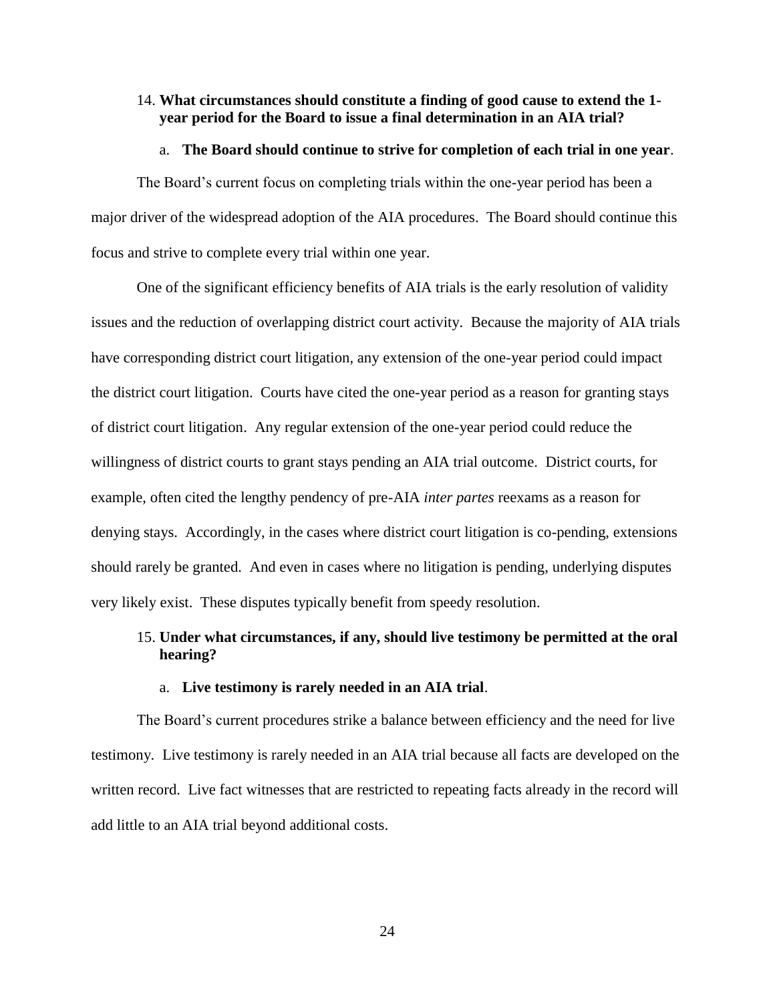### 14. **What circumstances should constitute a finding of good cause to extend the 1 year period for the Board to issue a final determination in an AIA trial?**

#### a. **The Board should continue to strive for completion of each trial in one year**.

The Board's current focus on completing trials within the one-year period has been a major driver of the widespread adoption of the AIA procedures. The Board should continue this focus and strive to complete every trial within one year.

One of the significant efficiency benefits of AIA trials is the early resolution of validity issues and the reduction of overlapping district court activity. Because the majority of AIA trials have corresponding district court litigation, any extension of the one-year period could impact the district court litigation. Courts have cited the one-year period as a reason for granting stays of district court litigation. Any regular extension of the one-year period could reduce the willingness of district courts to grant stays pending an AIA trial outcome. District courts, for example, often cited the lengthy pendency of pre-AIA *inter partes* reexams as a reason for denying stays. Accordingly, in the cases where district court litigation is co-pending, extensions should rarely be granted. And even in cases where no litigation is pending, underlying disputes very likely exist. These disputes typically benefit from speedy resolution.

## 15. **Under what circumstances, if any, should live testimony be permitted at the oral hearing?**

#### a. **Live testimony is rarely needed in an AIA trial**.

The Board's current procedures strike a balance between efficiency and the need for live testimony. Live testimony is rarely needed in an AIA trial because all facts are developed on the written record. Live fact witnesses that are restricted to repeating facts already in the record will add little to an AIA trial beyond additional costs.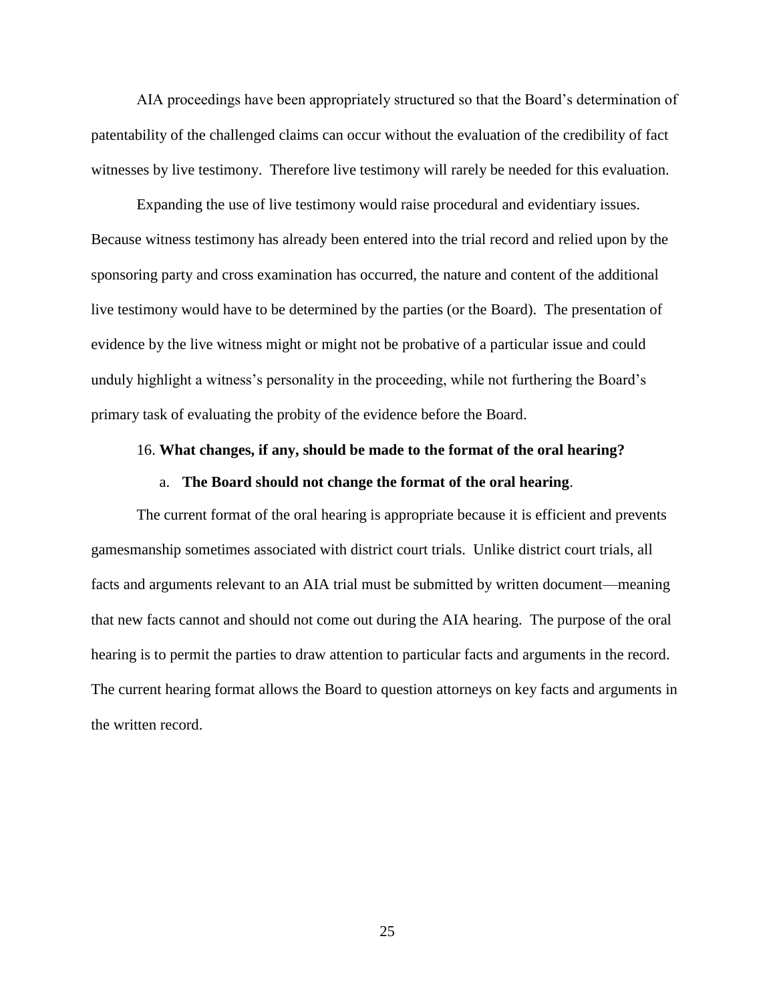AIA proceedings have been appropriately structured so that the Board's determination of patentability of the challenged claims can occur without the evaluation of the credibility of fact witnesses by live testimony. Therefore live testimony will rarely be needed for this evaluation.

Expanding the use of live testimony would raise procedural and evidentiary issues. Because witness testimony has already been entered into the trial record and relied upon by the sponsoring party and cross examination has occurred, the nature and content of the additional live testimony would have to be determined by the parties (or the Board). The presentation of evidence by the live witness might or might not be probative of a particular issue and could unduly highlight a witness's personality in the proceeding, while not furthering the Board's primary task of evaluating the probity of the evidence before the Board.

#### 16. **What changes, if any, should be made to the format of the oral hearing?**

#### a. **The Board should not change the format of the oral hearing**.

The current format of the oral hearing is appropriate because it is efficient and prevents gamesmanship sometimes associated with district court trials. Unlike district court trials, all facts and arguments relevant to an AIA trial must be submitted by written document—meaning that new facts cannot and should not come out during the AIA hearing. The purpose of the oral hearing is to permit the parties to draw attention to particular facts and arguments in the record. The current hearing format allows the Board to question attorneys on key facts and arguments in the written record.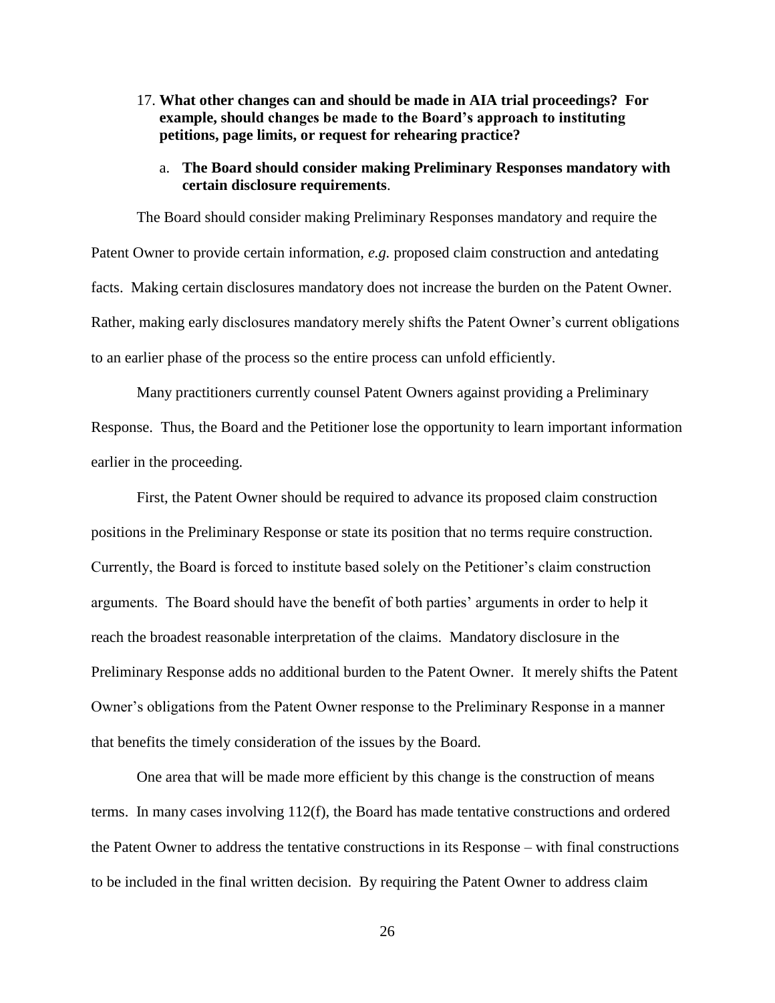17. **What other changes can and should be made in AIA trial proceedings? For example, should changes be made to the Board's approach to instituting petitions, page limits, or request for rehearing practice?**

### a. **The Board should consider making Preliminary Responses mandatory with certain disclosure requirements**.

The Board should consider making Preliminary Responses mandatory and require the Patent Owner to provide certain information, *e.g.* proposed claim construction and antedating facts. Making certain disclosures mandatory does not increase the burden on the Patent Owner. Rather, making early disclosures mandatory merely shifts the Patent Owner's current obligations to an earlier phase of the process so the entire process can unfold efficiently.

Many practitioners currently counsel Patent Owners against providing a Preliminary Response. Thus, the Board and the Petitioner lose the opportunity to learn important information earlier in the proceeding.

First, the Patent Owner should be required to advance its proposed claim construction positions in the Preliminary Response or state its position that no terms require construction. Currently, the Board is forced to institute based solely on the Petitioner's claim construction arguments. The Board should have the benefit of both parties' arguments in order to help it reach the broadest reasonable interpretation of the claims. Mandatory disclosure in the Preliminary Response adds no additional burden to the Patent Owner. It merely shifts the Patent Owner's obligations from the Patent Owner response to the Preliminary Response in a manner that benefits the timely consideration of the issues by the Board.

One area that will be made more efficient by this change is the construction of means terms. In many cases involving 112(f), the Board has made tentative constructions and ordered the Patent Owner to address the tentative constructions in its Response – with final constructions to be included in the final written decision. By requiring the Patent Owner to address claim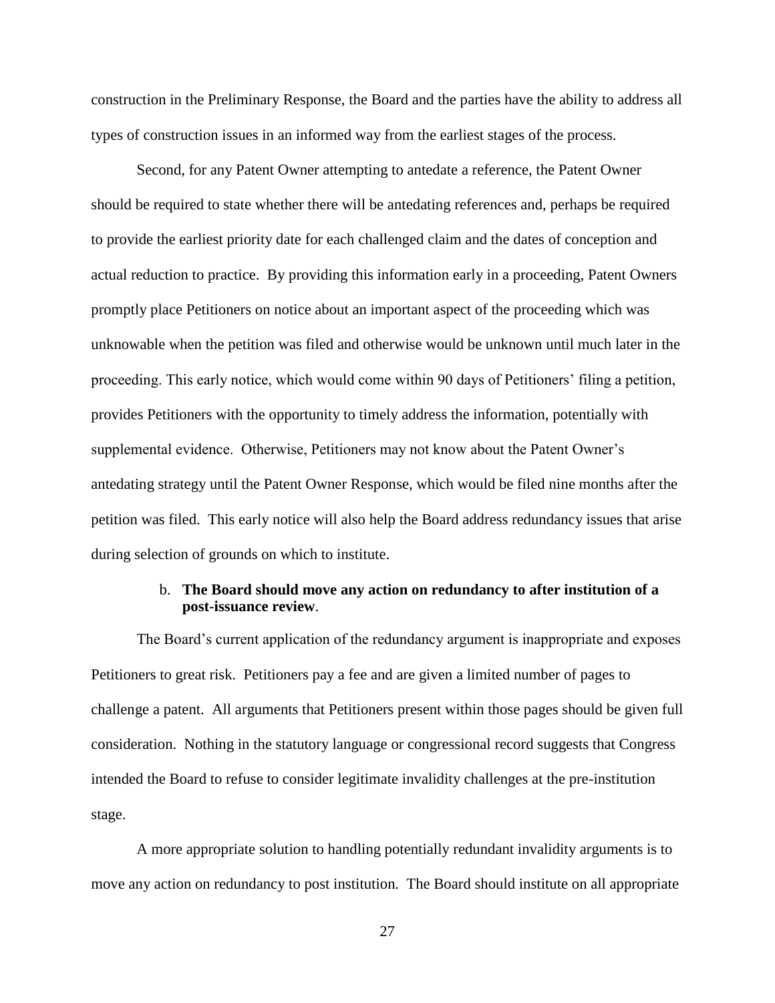construction in the Preliminary Response, the Board and the parties have the ability to address all types of construction issues in an informed way from the earliest stages of the process.

Second, for any Patent Owner attempting to antedate a reference, the Patent Owner should be required to state whether there will be antedating references and, perhaps be required to provide the earliest priority date for each challenged claim and the dates of conception and actual reduction to practice. By providing this information early in a proceeding, Patent Owners promptly place Petitioners on notice about an important aspect of the proceeding which was unknowable when the petition was filed and otherwise would be unknown until much later in the proceeding. This early notice, which would come within 90 days of Petitioners' filing a petition, provides Petitioners with the opportunity to timely address the information, potentially with supplemental evidence. Otherwise, Petitioners may not know about the Patent Owner's antedating strategy until the Patent Owner Response, which would be filed nine months after the petition was filed. This early notice will also help the Board address redundancy issues that arise during selection of grounds on which to institute.

### b. **The Board should move any action on redundancy to after institution of a post-issuance review**.

The Board's current application of the redundancy argument is inappropriate and exposes Petitioners to great risk. Petitioners pay a fee and are given a limited number of pages to challenge a patent. All arguments that Petitioners present within those pages should be given full consideration. Nothing in the statutory language or congressional record suggests that Congress intended the Board to refuse to consider legitimate invalidity challenges at the pre-institution stage.

A more appropriate solution to handling potentially redundant invalidity arguments is to move any action on redundancy to post institution. The Board should institute on all appropriate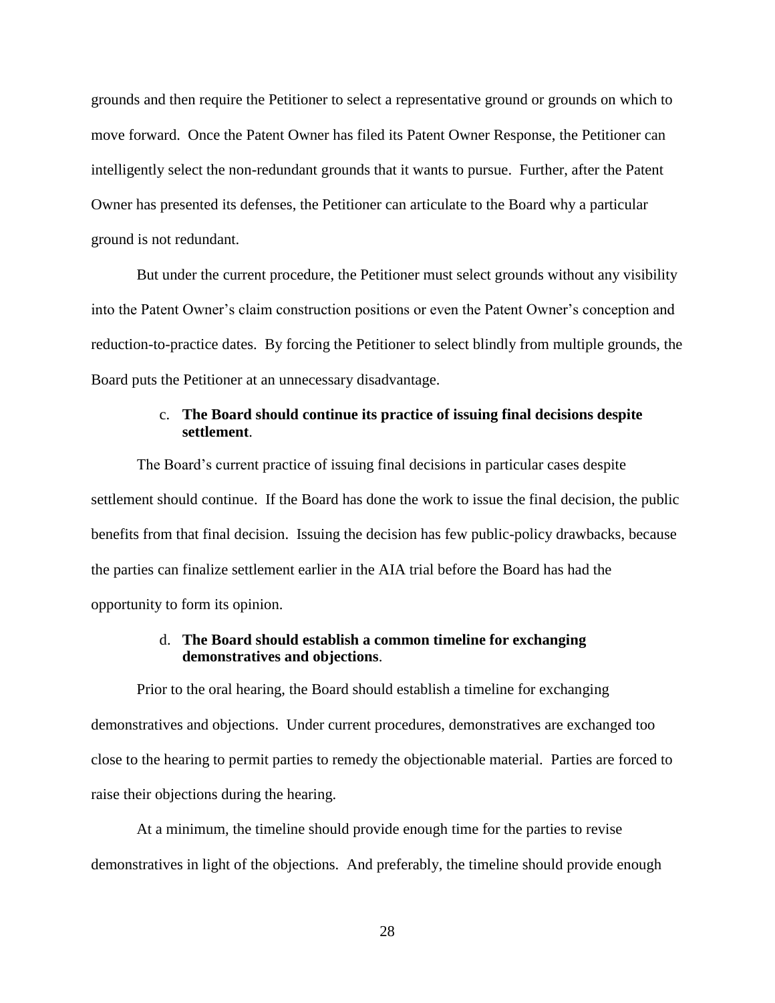grounds and then require the Petitioner to select a representative ground or grounds on which to move forward. Once the Patent Owner has filed its Patent Owner Response, the Petitioner can intelligently select the non-redundant grounds that it wants to pursue. Further, after the Patent Owner has presented its defenses, the Petitioner can articulate to the Board why a particular ground is not redundant.

But under the current procedure, the Petitioner must select grounds without any visibility into the Patent Owner's claim construction positions or even the Patent Owner's conception and reduction-to-practice dates. By forcing the Petitioner to select blindly from multiple grounds, the Board puts the Petitioner at an unnecessary disadvantage.

### c. **The Board should continue its practice of issuing final decisions despite settlement**.

The Board's current practice of issuing final decisions in particular cases despite settlement should continue. If the Board has done the work to issue the final decision, the public benefits from that final decision. Issuing the decision has few public-policy drawbacks, because the parties can finalize settlement earlier in the AIA trial before the Board has had the opportunity to form its opinion.

### d. **The Board should establish a common timeline for exchanging demonstratives and objections**.

Prior to the oral hearing, the Board should establish a timeline for exchanging demonstratives and objections. Under current procedures, demonstratives are exchanged too close to the hearing to permit parties to remedy the objectionable material. Parties are forced to raise their objections during the hearing.

At a minimum, the timeline should provide enough time for the parties to revise demonstratives in light of the objections. And preferably, the timeline should provide enough